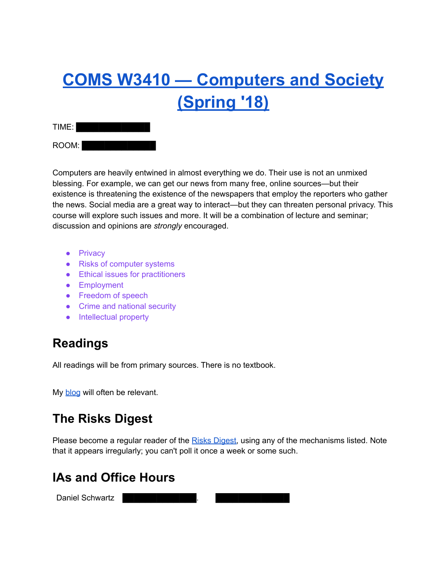# **COMS W3410 — [Computers](https://www.cs.columbia.edu/~smb/classes/s18/index.html) and Society [\(Spring](https://www.cs.columbia.edu/~smb/classes/s18/index.html) '18)**

| TIME: |  |  |  |  |
|-------|--|--|--|--|
| ROOM: |  |  |  |  |

Computers are heavily entwined in almost everything we do. Their use is not an unmixed blessing. For example, we can get our news from many free, online sources—but their existence is threatening the existence of the newspapers that employ the reporters who gather the news. Social media are a great way to interact—but they can threaten personal privacy. This course will explore such issues and more. It will be a combination of lecture and seminar; discussion and opinions are *strongly* encouraged.

- Privacy
- Risks of computer systems
- Ethical issues for practitioners
- **•** Employment
- Freedom of speech
- Crime and national security
- Intellectual property

# **Readings**

All readings will be from primary sources. There is no textbook.

My [blog](https://www.cs.columbia.edu/~smb/blog/) will often be relevant.

# **The Risks Digest**

Please become a regular reader of the Risks [Digest,](http://catless.ncl.ac.uk/Risks/) using any of the mechanisms listed. Note that it appears irregularly; you can't poll it once a week or some such.

# **IAs and Office Hours**

Daniel Schwartz l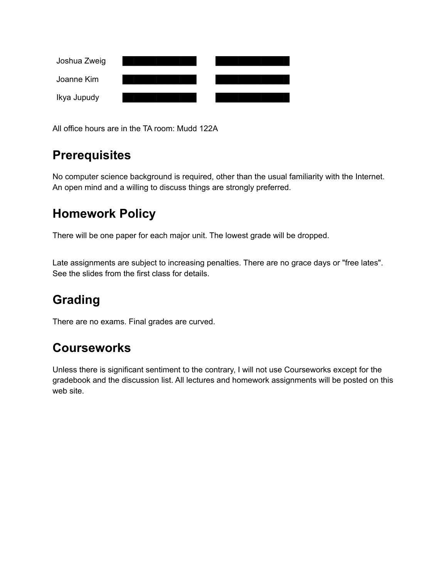

All office hours are in the TA room: Mudd 122A

# **Prerequisites**

No computer science background is required, other than the usual familiarity with the Internet. An open mind and a willing to discuss things are strongly preferred.

# **Homework Policy**

There will be one paper for each major unit. The lowest grade will be dropped.

Late assignments are subject to increasing penalties. There are no grace days or "free lates". See the slides from the first class for details.

# **Grading**

There are no exams. Final grades are curved.

# **Courseworks**

Unless there is significant sentiment to the contrary, I will not use Courseworks except for the gradebook and the discussion list. All lectures and homework assignments will be posted on this web site.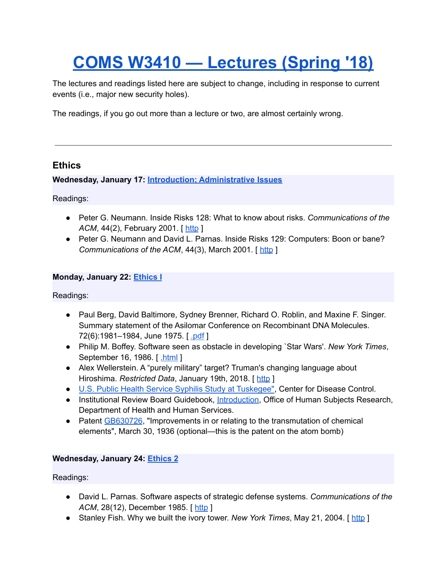# **COMS W3410 — [Lectures](https://www.cs.columbia.edu/~smb/classes/s18/lectures.html) (Spring '18)**

The lectures and readings listed here are subject to change, including in response to current events (i.e., major new security holes).

The readings, if you go out more than a lecture or two, are almost certainly wrong.

# **Ethics**

**Wednesday, January 17: Introduction; [Administrative](https://www.cs.columbia.edu/~smb/classes/s18/l_intro.pdf) Issues**

Readings:

- Peter G. Neumann. Inside Risks 128: What to know about risks. *Communications of the ACM*, 44(2), February 2001. [[http](http://www.csl.sri.com/users/neumann/insiderisks.html#128) ]
- Peter G. Neumann and David L. Parnas. Inside Risks 129: Computers: Boon or bane? *Communications of the ACM*, 44(3), March 2001. [ [http](http://www.csl.sri.com/users/neumann/insiderisks.html#129) ]

# **Monday, January 22: [Ethics](https://www.cs.columbia.edu/~smb/classes/s18/l_ethics1.pdf) I**

Readings:

- Paul Berg, David Baltimore, Sydney Brenner, Richard O. Roblin, and Maxine F. Singer. Summary statement of the Asilomar Conference on Recombinant DNA Molecules. 72(6):1981–1984, June 1975. [ [.pdf](https://authors.library.caltech.edu/11971/1/BERpnas75.pdf) ]
- Philip M. Boffey. Software seen as obstacle in developing `Star Wars'. *New York Times*, September 16, 1986. [ [.html](https://www.nytimes.com/1986/09/16/science/software-seen-as-obstacle-in-developing-star-wars.html) ]
- Alex Wellerstein. A "purely military" target? Truman's changing language about Hiroshima. *Restricted Data*, January 19th, 2018. [ [http](http://blog.nuclearsecrecy.com/2018/01/19/purely-military-target/) ]
- U.S. Public Health Service Syphilis Study at [Tuskegee"](https://www.cdc.gov/tuskegee/timeline.htm), Center for Disease Control.
- **•** Institutional Review Board Guidebook, [Introduction,](http://wayback.archive-it.org/org-745/20150930181805/http://www.hhs.gov/ohrp/archive/irb/irb_guidebook.htm) Office of Human Subjects Research, Department of Health and Human Services.
- Patent [GB630726](https://worldwide.espacenet.com/publicationDetails/biblio?CC=GB&NR=630726&KC=&FT=E&locale=en_EP), "Improvements in or relating to the transmutation of chemical elements", March 30, 1936 (optional—this is the patent on the atom bomb)

# **Wednesday, January 24: [Ethics](https://www.cs.columbia.edu/~smb/classes/s18/l_ethics2.pdf) 2**

- David L. Parnas. Software aspects of strategic defense systems. *Communications of the ACM*, 28(12), December 1985. [ [http](https://dl.acm.org/citation.cfm?id=214961) ]
- Stanley Fish. Why we built the ivory tower. *New York Times*, May 21, 2004. [ [http](http://www.nytimes.com/2004/05/21/opinion/why-we-built-the-ivory-tower.html?_r=0) ]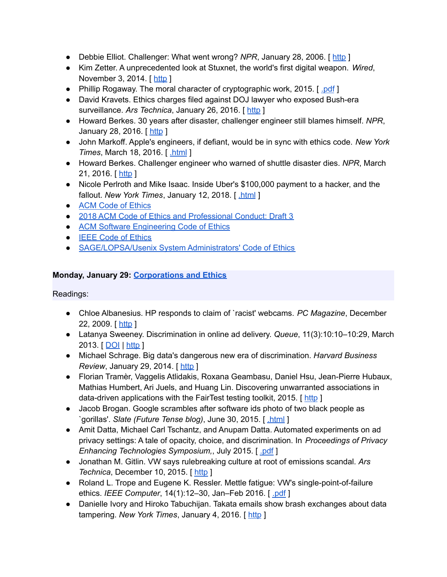- Debbie Elliot. Challenger: What went wrong? *NPR*, January 28, 2006. [ [http](https://www.npr.org/templates/story/story.php?storyId=5176563) ]
- Kim Zetter. A unprecedented look at Stuxnet, the world's first digital weapon. *Wired*, November 3, 2014. [ [http](http://www.wired.com/2014/11/countdown-to-zero-day-stuxnet/) ]
- Phillip Rogaway. The moral character of cryptographic work, 2015. [ [.pdf](http://web.cs.ucdavis.edu/~rogaway/papers/moral-fn.pdf) ]
- David Kravets. Ethics charges filed against DOJ lawyer who exposed Bush-era surveillance. *Ars Technica*, January 26, 2016. [ [http](http://arstechnica.com/tech-policy/2016/01/ethics-charges-filed-against-doj-lawyer-who-exposed-bush-era-surveillance/) ]
- Howard Berkes. 30 years after disaster, challenger engineer still blames himself. *NPR*, January 28, 2016. [[http](http://www.npr.org/sections/thetwo-way/2016/01/28/464744781/30-years-after-disaster-challenger-engineer-still-blames-himself) ]
- John Markoff. Apple's engineers, if defiant, would be in sync with ethics code. *New York Times*, March 18, 2016. [ [.html](http://www.nytimes.com/2016/03/19/technology/apples-engineers-if-defiant-would-be-in-sync-with-ethics-code.html) ]
- Howard Berkes. Challenger engineer who warned of shuttle disaster dies. *NPR*, March 21, 2016. [ [http](http://www.npr.org/sections/thetwo-way/2016/03/21/470870426/challenger-engineer-who-warned-of-shuttle-disaster-dies) ]
- Nicole Perlroth and Mike Isaac. Inside Uber's \$100,000 payment to a hacker, and the fallout. *New York Times*, January 12, 2018. [ [.html](https://www.nytimes.com/2018/01/12/technology/uber-hacker-payment-100000.html) ]
- ACM Code of [Ethics](http://www.acm.org/about/code-of-ethics)
- 2018 ACM Code of Ethics and [Professional](https://ethics.acm.org/2018-code-draft-3/) Conduct: Draft 3
- ACM Software [Engineering](https://ethics.acm.org/code-of-ethics/software-engineering-code/) Code of Ethics
- IEEE Code of [Ethics](http://www.ieee.org/about/corporate/governance/p7-8.html)
- [SAGE/LOPSA/Usenix](https://www.usenix.org/lisa/system-administrators-code-ethics) System Administrators' Code of Ethics

#### **Monday, January 29: [Corporations](https://www.cs.columbia.edu/~smb/classes/s18/l_corp.pdf) and Ethics**

- Chloe Albanesius. HP responds to claim of `racist' webcams. *PC Magazine*, December 22, 2009. [ [http](http://www.pcmag.com/article2/0,2817,2357429,00.asp) ]
- Latanya Sweeney. Discrimination in online ad delivery. *Queue*, 11(3):10:10–10:29, March 2013. [ [DOI](http://dx.doi.org/10.1145/2460276.2460278) | [http](http://doi.acm.org/10.1145/2460276.2460278) ]
- Michael Schrage. Big data's dangerous new era of discrimination. *Harvard Business Review, January 29, 2014.* [ [http](https://hbr.org/2014/01/big-datas-dangerous-new-era-of-discrimination/) ]
- Florian Tramèr, Vaggelis Atlidakis, Roxana Geambasu, Daniel Hsu, Jean-Pierre Hubaux, Mathias Humbert, Ari Juels, and Huang Lin. Discovering unwarranted associations in data-driven applications with the FairTest testing toolkit, 2015. [[http](http://arxiv.org/abs/1510.02377)]
- Jacob Brogan. Google scrambles after software ids photo of two black people as `gorillas'. *Slate (Future Tense blog)*, June 30, 2015. [ [.html](http://www.slate.com/blogs/future_tense/2015/06/30/google_s_image_recognition_software_returns_some_surprisingly_racist_results.html) ]
- Amit Datta, Michael Carl Tschantz, and Anupam Datta. Automated experiments on ad privacy settings: A tale of opacity, choice, and discrimination. In *Proceedings of Privacy Enhancing Technologies Symposium,*, July 2015. [ [.pdf](https://www.andrew.cmu.edu/user/danupam/dtd-pets15.pdf) ]
- Jonathan M. Gitlin. VW says rulebreaking culture at root of emissions scandal. *Ars Technica*, December 10, 2015. [[http](http://arstechnica.com/cars/2015/12/vw-says-rulebreaking-culture-at-root-of-emissions-scandal/) ]
- Roland L. Trope and Eugene K. Ressler. Mettle fatigue: VW's single-point-of-failure ethics. *IEEE Computer*, 14(1):12–30, Jan–Feb 2016. [ [.pdf](http://www.computer.org/cms/Computer.org/ComputingNow/docs/mettle-fatigue-security-and-privacy-january-february-2016.pdf) ]
- Danielle Ivory and Hiroko Tabuchijan. Takata emails show brash exchanges about data tampering. *New York Times*, January 4, 2016. [ [http](http://www.nytimes.com/2016/01/05/business/takata-emails-show-brash-exchanges-about-data-tampering.html?_r=0) ]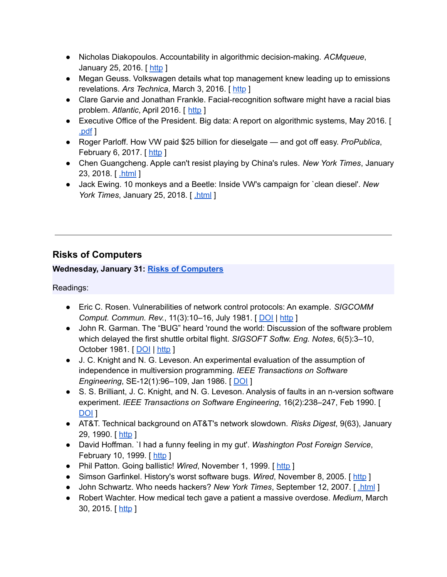- Nicholas Diakopoulos. Accountability in algorithmic decision-making. *ACMqueue*, January 25, 2016. [[http](https://queue.acm.org/detail.cfm?id=2886105) ]
- Megan Geuss. Volkswagen details what top management knew leading up to emissions revelations. *Ars Technica*, March 3, 2016. [ [http](http://arstechnica.com/cars/2016/03/volkswagen-says-ceo-was-in-fact-briefed-about-emissions-issues-in-2014/) ]
- Clare Garvie and Jonathan Frankle. Facial-recognition software might have a racial bias problem. *Atlantic*, April 2016. [ [http](http://www.theatlantic.com/technology/archive/2016/04/the-underlying-bias-of-facial-recognition-systems/476991/) ]
- Executive Office of the President. Big data: A report on algorithmic systems, May 2016. [ [.pdf](https://obamawhitehouse.archives.gov/sites/default/files/microsites/ostp/2016_0504_data_discrimination.pdf) ]
- Roger Parloff. How VW paid \$25 billion for dieselgate and got off easy. *ProPublica*, February 6, 2017. [[http](https://www.propublica.org/article/how-vw-paid-25-billion-for-dieselgate-and-got-off-easy) ]
- Chen Guangcheng. Apple can't resist playing by China's rules. *New York Times*, January 23, 2018. [ [.html](https://www.nytimes.com/2018/01/23/opinion/apple-china-data.html) ]
- Jack Ewing. 10 monkeys and a Beetle: Inside VW's campaign for `clean diesel'. *New York Times*, January 25, 2018. [ [.html](https://www.nytimes.com/2018/01/25/world/europe/volkswagen-diesel-emissions-monkeys.html) ]

# **Risks of Computers**

# **Wednesday, January 31: Risks of [Computers](https://www.cs.columbia.edu/~smb/classes/s18/l_risks1.pdf)**

- Eric C. Rosen. Vulnerabilities of network control protocols: An example. *SIGCOMM Comput. Commun. Rev.*, 11(3):10–16, July 1981. [ [DOI](http://dx.doi.org/10.1145/1015591.1015592) | [http](http://doi.acm.org/10.1145/1015591.1015592) ]
- John R. Garman. The "BUG" heard 'round the world: Discussion of the software problem which delayed the first shuttle orbital flight. *SIGSOFT Softw. Eng. Notes*, 6(5):3–10, October 1981. [ [DOI](http://dx.doi.org/10.1145/1005928.1005929) | [http](http://doi.acm.org/10.1145/1005928.1005929) ]
- J. C. Knight and N. G. Leveson. An experimental evaluation of the assumption of independence in multiversion programming. *IEEE Transactions on Software Engineering*, SE-12(1):96–109, Jan 1986. [ [DOI](http://dx.doi.org/10.1109/TSE.1986.6312924) ]
- S. S. Brilliant, J. C. Knight, and N. G. Leveson. Analysis of faults in an n-version software experiment. *IEEE Transactions on Software Engineering*, 16(2):238–247, Feb 1990. [ [DOI](http://dx.doi.org/10.1109/32.44387) ]
- AT&T. Technical background on AT&T's network slowdown. *Risks Digest*, 9(63), January 29, 1990. [ [http](http://catless.ncl.ac.uk/Risks/9.63.html#subj3) ]
- David Hoffman. `I had a funny feeling in my gut'. *Washington Post Foreign Service*, February 10, 1999. [ [http](https://www.washingtonpost.com/wp-srv/inatl/longterm/coldwar/shatter021099b.htm) ]
- Phil Patton. Going ballistic! Wired, November 1, 1999. [[http](https://www.wired.com/1999/11/cheyenne/) ]
- Simson Garfinkel. History's worst software bugs. Wired, November 8, 2005. [[http](https://www.wired.com/2005/11/historys-worst-software-bugs/?currentPage=all) ]
- John Schwartz. Who needs hackers? *New York Times*, September 12, 2007. [ [.html](http://www.nytimes.com/2007/09/12/technology/techspecial/12threat.html) ]
- Robert Wachter. How medical tech gave a patient a massive overdose. *Medium*, March 30, 2015. [[http](https://medium.com/backchannel/how-technology-led-a-hospital-to-give-a-patient-38-times-his-dosage-ded7b3688558) ]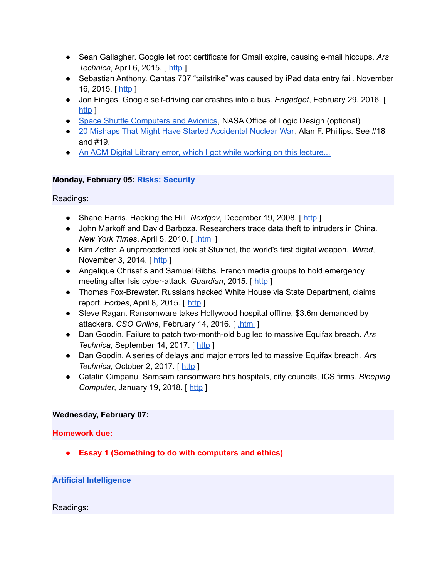- Sean Gallagher. Google let root certificate for Gmail expire, causing e-mail hiccups. *Ars Technica*, April 6, 2015. [ [http](https://arstechnica.com/information-technology/2015/04/google-let-root-certificate-for-gmail-expire-causing-e-mail-hiccups/) ]
- Sebastian Anthony. Qantas 737 "tailstrike" was caused by iPad data entry fail. November 16, 2015. [ [http](https://arstechnica.com/gadgets/2015/11/qantas-737-tailstrike-was-caused-by-ipad-data-entry-fail/) ]
- Jon Fingas. Google self-driving car crashes into a bus. *Engadget*, February 29, 2016. [ [http](http://www.engadget.com/2016/02/29/google-self-driving-car-accident/) ]
- Space Shuttle [Computers](http://klabs.org/DEI/Processor/shuttle/) and Avionics, NASA Office of Logic Design (optional)
- 20 Mishaps That Might Have Started [Accidental](http://www.nuclearfiles.org/menu/key-issues/nuclear-weapons/issues/accidents/20-mishaps-maybe-caused-nuclear-war.htm) Nuclear War, Alan F. Phillips. See #18 and #19.
- An ACM Digital Library error, which I got while working on this [lecture...](https://www.cs.columbia.edu/~smb/classes/s18/Files/acm-err.pdf)

# **Monday, February 05: Risks: [Security](https://www.cs.columbia.edu/~smb/classes/s18/l_security.pdf)**

Readings:

- Shane Harris. Hacking the Hill. *Nextgov*, December 19, 2008. [ [http](http://www.nextgov.com/cio-briefing/2008/12/hacking-the-hill/42717/) ]
- John Markoff and David Barboza. Researchers trace data theft to intruders in China. *New York Times*, April 5, 2010. [ [.html](https://www.nytimes.com/2010/04/06/science/06cyber.html) ]
- Kim Zetter. A unprecedented look at Stuxnet, the world's first digital weapon. *Wired*, November 3, 2014. [[http](http://www.wired.com/2014/11/countdown-to-zero-day-stuxnet/) ]
- Angelique Chrisafis and Samuel Gibbs. French media groups to hold emergency meeting after Isis cyber-attack. *Guardian*, 2015. [ [http](https://www.theguardian.com/world/2015/apr/09/french-tv-network-tv5monde-hijacked-by-pro-isis-hackers) ]
- Thomas Fox-Brewster. Russians hacked White House via State Department, claims report. *Forbes*, April 8, 2015. [ [http](https://www.forbes.com/sites/thomasbrewster/2015/04/08/russians-hacked-white-house-cnn/) ]
- Steve Ragan. Ransomware takes Hollywood hospital offline, \$3.6m demanded by attackers. *CSO Online*, February 14, 2016. [ [.html](http://www.csoonline.com/article/3033160/security/ransomware-takes-hollywood-hospital-offline-36m-demanded-by-attackers.html) ]
- Dan Goodin. Failure to patch two-month-old bug led to massive Equifax breach. *Ars Technica*, September 14, 2017. [ [http](https://arstechnica.com/information-technology/2017/09/massive-equifax-breach-caused-by-failure-to-patch-two-month-old-bug/) ]
- Dan Goodin. A series of delays and major errors led to massive Equifax breach. *Ars Technica*, October 2, 2017. [ [http](https://arstechnica.com/information-technology/2017/10/a-series-of-delays-and-major-errors-led-to-massive-equifax-breach/) ]
- Catalin Cimpanu. Samsam ransomware hits hospitals, city councils, ICS firms. *Bleeping Computer, January 19, 2018.* [[http](https://www.bleepingcomputer.com/news/security/samsam-ransomware-hits-hospitals-city-councils-ics-firms/) ]

# **Wednesday, February 07:**

**Homework due:**

**● Essay 1 (Something to do with computers and ethics)**

# **Artificial [Intelligence](https://www.cs.columbia.edu/~smb/classes/s18/ai.pptx)**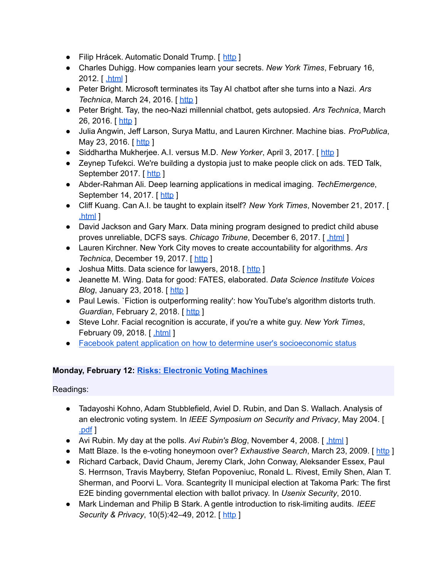- Filip Hrácek. Automatic Donald Trump. [ [http](https://filiph.github.io/markov/) ]
- Charles Duhigg. How companies learn your secrets. *New York Times*, February 16, 2012. [ [.html](http://www.nytimes.com/2012/02/19/magazine/shopping-habits.html) ]
- Peter Bright. Microsoft terminates its Tay AI chatbot after she turns into a Nazi. *Ars Technica*, March 24, 2016. [[http](https://arstechnica.com/information-technology/2016/03/microsoft-terminates-its-tay-ai-chatbot-after-she-turns-into-a-nazi/) ]
- Peter Bright. Tay, the neo-Nazi millennial chatbot, gets autopsied. *Ars Technica*, March 26, 2016. [[http](https://arstechnica.com/information-technology/2016/03/tay-the-neo-nazi-millennial-chatbot-gets-autopsied/) ]
- Julia Angwin, Jeff Larson, Surya Mattu, and Lauren Kirchner. Machine bias. *ProPublica*, May 23, 2016. [[http](https://www.propublica.org/article/machine-bias-risk-assessments-in-criminal-sentencing) ]
- Siddhartha Mukherjee. A.I. versus M.D. *New Yorker*, April 3, 2017. [[http](https://www.newyorker.com/magazine/2017/04/03/ai-versus-md) ]
- Zeynep Tufekci. We're building a dystopia just to make people click on ads. TED Talk, September 2017. [ [http](https://www.ted.com/talks/zeynep_tufekci_we_re_building_a_dystopia_just_to_make_people_click_on_ads) ]
- Abder-Rahman Ali. Deep learning applications in medical imaging. *TechEmergence*, September 14, 2017. [ [http](https://www.techemergence.com/deep-learning-applications-in-medical-imaging/) ]
- Cliff Kuang. Can A.I. be taught to explain itself? *New York Times*, November 21, 2017. [ [.html](https://www.nytimes.com/2017/11/21/magazine/can-ai-be-taught-to-explain-itself.html) ]
- David Jackson and Gary Marx. Data mining program designed to predict child abuse proves unreliable, DCFS says. *Chicago Tribune*, December 6, 2017. [ [.html](http://www.chicagotribune.com/news/watchdog/ct-dcfs-eckerd-met-20171206-story.html) ]
- Lauren Kirchner. New York City moves to create accountability for algorithms. *Ars Technica*, December 19, 2017. [ [http](https://arstechnica.com/tech-policy/2017/12/new-york-city-moves-to-create-accountability-for-algorithms/) ]
- Joshua Mitts. Data science for lawyers, 2018. [[http](http://www.joshmitts.com/data-science-for-lawyers/)]
- Jeanette M. Wing. Data for good: FATES, elaborated. *Data Science Institute Voices Blog*, January 23, 2018. [ [http](http://datascience.columbia.edu/FATES-Elaborated) ]
- Paul Lewis. `Fiction is outperforming reality': how YouTube's algorithm distorts truth. *Guardian*, February 2, 2018. [[http](https://www.theguardian.com/technology/2018/feb/02/how-youtubes-algorithm-distorts-truth) ]
- Steve Lohr. Facial recognition is accurate, if you're a white guy. *New York Times*, February 09, 2018. [[.html](https://www.nytimes.com/2018/02/09/technology/facial-recognition-race-artificial-intelligence.html) ]
- Facebook patent application on how to determine user's [socioeconomic](https://www.cs.columbia.edu/~smb/classes/s18/Files/patent-socioeconomic.pdf) status

# **Monday, February 12: Risks: [Electronic](https://www.cs.columbia.edu/~smb/classes/s18/l_voting.pdf) Voting Machines**

- Tadayoshi Kohno, Adam Stubblefield, Aviel D. Rubin, and Dan S. Wallach. Analysis of an electronic voting system. In *IEEE Symposium on Security and Privacy*, May 2004. [ [.pdf](http://avirubin.com/vote.pdf) ]
- Avi Rubin. My day at the polls. Avi Rubin's Blog, November 4, 2008. [html]
- Matt Blaze. Is the e-voting honeymoon over? *Exhaustive Search*, March 23, 2009. [ [http](http://www.crypto.com/blog/vote_fraud_in_kentucky/) ]
- Richard Carback, David Chaum, Jeremy Clark, John Conway, Aleksander Essex, Paul S. Herrnson, Travis Mayberry, Stefan Popoveniuc, Ronald L. Rivest, Emily Shen, Alan T. Sherman, and Poorvi L. Vora. Scantegrity II municipal election at Takoma Park: The first E2E binding governmental election with ballot privacy. In *Usenix Security*, 2010.
- Mark Lindeman and Philip B Stark. A gentle introduction to risk-limiting audits. *IEEE Security & Privacy*, 10(5):42–49, 2012. [ [http](http://citeseerx.ist.psu.edu/viewdoc/download?doi=10.1.1.229.883&rep=rep1&type=pdf) ]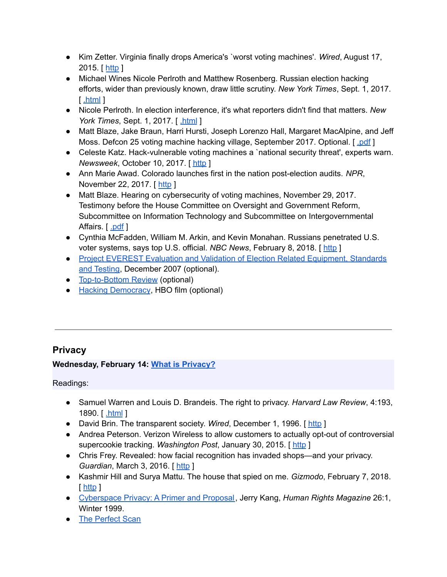- Kim Zetter. Virginia finally drops America's `worst voting machines'. *Wired*, August 17, 2015. [[http](https://www.wired.com/2015/08/virginia-finally-drops-americas-worst-voting-machines/) ]
- Michael Wines Nicole Perlroth and Matthew Rosenberg. Russian election hacking efforts, wider than previously known, draw little scrutiny. *New York Times*, Sept. 1, 2017. [ [.html](https://www.nytimes.com/2017/09/01/us/politics/russia-election-hacking.html) ]
- Nicole Perlroth. In election interference, it's what reporters didn't find that matters. *New York Times*, Sept. 1, 2017. [ [.html](https://www.nytimes.com/2017/09/01/insider/in-election-interference-its-what-reporters-didnt-find-that-matters.html) ]
- Matt Blaze, Jake Braun, Harri Hursti, Joseph Lorenzo Hall, Margaret MacAlpine, and Jeff Moss. Defcon 25 voting machine hacking village, September 2017. Optional. [ [.pdf](https://www.defcon.org/images/defcon-25/DEF%20CON%2025%20voting%20village%20report.pdf) ]
- Celeste Katz. Hack-vulnerable voting machines a `national security threat', experts warn. *Newsweek*, October 10, 2017. [ [http](http://www.newsweek.com/hacking-defcon-voting-machines-technology-software-eac-russia-meddling-681759) ]
- Ann Marie Awad. Colorado launches first in the nation post-election audits. *NPR*, November 22, 2017. [ [http](https://www.npr.org/2017/11/22/566039611/colorado-launches-first-in-the-nation-post-election-audits) ]
- Matt Blaze. Hearing on cybersecurity of voting machines, November 29, 2017. Testimony before the House Committee on Oversight and Government Reform, Subcommittee on Information Technology and Subcommittee on Intergovernmental Affairs. [ [.pdf](http://www.mattblaze.org/papers/blaze-govtreform-20171129.pdf) ]
- Cynthia McFadden, William M. Arkin, and Kevin Monahan. Russians penetrated U.S. voter systems, says top U.S. official. *NBC News*, February 8, 2018. [ [http](https://www.nbcnews.com/politics/elections/russians-penetrated-u-s-voter-systems-says-top-u-s-n845721) ]
- Project EVEREST Evaluation and Validation of Election Related [Equipment,](http://citizentaskforce.org/wp-content/uploads/2014/12/EVERESTReport.pdf) Standards and [Testing](http://citizentaskforce.org/wp-content/uploads/2014/12/EVERESTReport.pdf), December 2007 (optional).
- [Top-to-Bottom](http://www.sos.ca.gov/elections/voting-systems/oversight/top-bottom-review/) Review (optional)
- Hacking [Democracy](http://en.wikipedia.org/wiki/Hacking_Democracy), HBO film (optional)

# **Privacy**

# **Wednesday, February 14: What is [Privacy?](https://www.cs.columbia.edu/~smb/classes/s18/l_privacy.pdf)**

- Samuel Warren and Louis D. Brandeis. The right to privacy. *Harvard Law Review*, 4:193, 1890. [ [.html](http://groups.csail.mit.edu/mac/classes/6.805/articles/privacy/Privacy_brand_warr2.html) ]
- David Brin. The transparent society. *Wired*, December 1, 1996. [[http](http://www.wired.com/1996/12/fftransparent/) ]
- Andrea Peterson. Verizon Wireless to allow customers to actually opt-out of controversial supercookie tracking. *Washington Post*, January 30, 2015. [ [http](https://www.washingtonpost.com/news/the-switch/wp/2015/01/30/verizon-wireless-to-allow-customers-to-actually-opt-out-of-controversial-supercookie-tracking/) ]
- Chris Frey. Revealed: how facial recognition has invaded shops—and your privacy. *Guardian*, March 3, 2016. [[http](http://www.theguardian.com/cities/2016/mar/03/revealed-facial-recognition-software-infiltrating-cities-saks-toronto) ]
- Kashmir Hill and Surya Mattu. The house that spied on me. *Gizmodo*, February 7, 2018. [ [http](https://gizmodo.com/the-house-that-spied-on-me-1822429852) ]
- [Cyberspace](http://heinonline.org/HOL/LandingPage?handle=hein.journals/huri26&div=6&id=&page=) Privacy: A Primer and Proposal, Jerry Kang, *Human Rights Magazine* 26:1, Winter 1999.
- The [Perfect](http://www.id-reader.com/ftp/press/articles/card_scanning_for_casino.pdf) Scan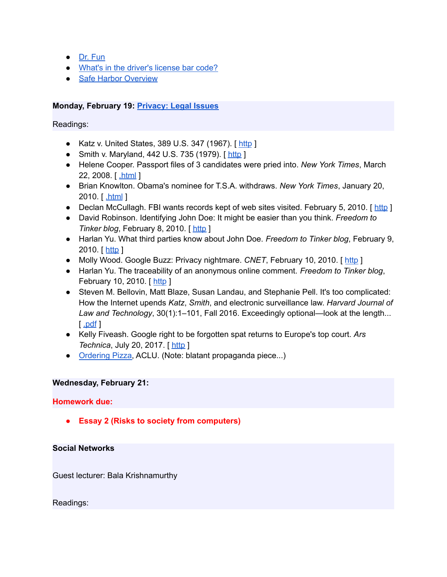- Dr. [Fun](http://www.ibiblio.org/Dave/Dr-Fun/df200601/df20060116.jpg)
- What's in the [driver's](http://web.archive.org/web/20100227093405/http://schram.net/articles/barcode.html) license bar code?
- Safe Harbor [Overview](https://www.privacyshield.gov/Program-Overview)

# **Monday, February 19: [Privacy:](https://www.cs.columbia.edu/~smb/classes/s18/l_privacy-legal.pdf) Legal Issues**

Readings:

- Katz v. United States, 389 U.S. 347 (1967). [[http](https://www.law.cornell.edu/supremecourt/text/389/347) ]
- Smith v. Maryland, 442 U.S. 735 (1979). [[http](https://scholar.google.com/scholar_case?case=3033726127475530815&hl=en&as_sdt=6&as_vis=1&oi=scholarr) ]
- Helene Cooper. Passport files of 3 candidates were pried into. *New York Times*, March 22, 2008. [ [.html](https://www.nytimes.com/2008/03/22/us/politics/22passport.html) ]
- Brian Knowlton. Obama's nominee for T.S.A. withdraws. *New York Times*, January 20, 2010. [ [.html](https://www.nytimes.com/2010/01/21/us/politics/21southers.html) ]
- Declan McCullagh. FBI wants records kept of web sites visited. February 5, 2010. [ [http](https://www.cnet.com/news/fbi-wants-records-kept-of-web-sites-visited/) ]
- David Robinson. Identifying John Doe: It might be easier than you think. *Freedom to Tinker blog*, February 8, 2010. [[http](https://freedom-to-tinker.com/2010/02/08/identifying-john-doe-it-might-be-easier-you-think/) ]
- Harlan Yu. What third parties know about John Doe. *Freedom to Tinker blog*, February 9, 2010. [ [http](https://freedom-to-tinker.com/2010/02/09/what-third-parties-know-about-john-doe/) ]
- Molly Wood. Google Buzz: Privacy nightmare. *CNET*, February 10, 2010. [[http](https://www.cnet.com/news/google-buzz-privacy-nightmare/) ]
- Harlan Yu. The traceability of an anonymous online comment. *Freedom to Tinker blog*, February 10, 2010. [[http](https://freedom-to-tinker.com/2010/02/10/traceability-anonymous-online-comment/) ]
- Steven M. Bellovin, Matt Blaze, Susan Landau, and Stephanie Pell. It's too complicated: How the Internet upends *Katz*, *Smith*, and electronic surveillance law. *Harvard Journal of Law and Technology*, 30(1):1–101, Fall 2016. Exceedingly optional—look at the length...  $\lceil$  [.pdf](http://jolt.law.harvard.edu/assets/articlePDFs/v30/30HarvJLTech1.pdf)  $\rceil$
- Kelly Fiveash. Google right to be forgotten spat returns to Europe's top court. *Ars Technica*, July 20, 2017. [[http](https://arstechnica.com/tech-policy/2017/07/google-right-to-be-forgotten-spat-returns-to-cjeu/) ]
- [Ordering](http://www.aclu.org/pizza/) Pizza, ACLU. (Note: blatant propaganda piece...)

#### **Wednesday, February 21:**

#### **Homework due:**

**● Essay 2 (Risks to society from computers)**

#### **Social Networks**

Guest lecturer: Bala Krishnamurthy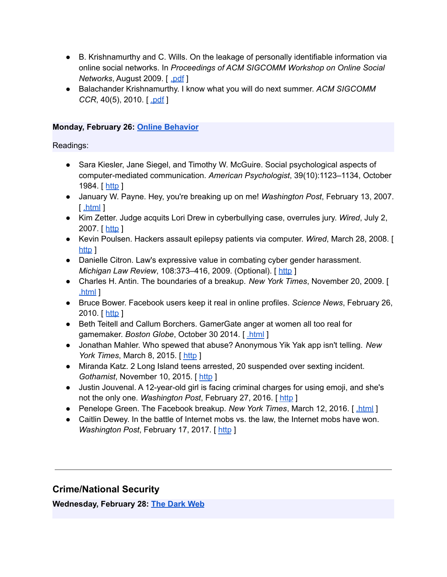- B. Krishnamurthy and C. Wills. On the leakage of personally identifiable information via online social networks. In *Proceedings of ACM SIGCOMM Workshop on Online Social Networks*, August 2009. [ [.pdf](http://web2.research.att.com/export/sites/att_labs/people/Krishnamurthy_Balachander/papers/wosn09.pdf) ]
- Balachander Krishnamurthy. I know what you will do next summer. *ACM SIGCOMM CCR*, 40(5), 2010. [[.pdf](http://web2.research.att.com/export/sites/att_labs/people/Krishnamurthy_Balachander/papers/ccr10-priv.pdf) ]

# **Monday, February 26: Online [Behavior](https://www.cs.columbia.edu/~smb/classes/s18/l_behavior.pdf)**

Readings:

- Sara Kiesler, Jane Siegel, and Timothy W. McGuire. Social psychological aspects of computer-mediated communication. *American Psychologist*, 39(10):1123–1134, October 1984. [ [http](http://dx.doi.org/10.1037/0003-066X.39.10.1123) ]
- January W. Payne. Hey, you're breaking up on me! *Washington Post*, February 13, 2007. [ [.html](http://www.washingtonpost.com/wp-dyn/content/article/2007/02/12/AR2007021201139.html) ]
- Kim Zetter. Judge acquits Lori Drew in cyberbullying case, overrules jury. *Wired*, July 2, 2007. [ [http](http://www.wired.com/2009/07/drew_court/) ]
- Kevin Poulsen. Hackers assault epilepsy patients via computer. *Wired*, March 28, 2008. [ [http](http://archive.wired.com/politics/security/news/2008/03/epilepsy) 1
- Danielle Citron. Law's expressive value in combating cyber gender harassment. *Michigan Law Review*, 108:373–416, 2009. (Optional). [ [http](http://digitalcommons.law.umaryland.edu/cgi/viewcontent.cgi?article=1687&context=fac_pubs) ]
- Charles H. Antin. The boundaries of a breakup. *New York Times*, November 20, 2009. [ [.html](http://www.nytimes.com/2009/11/22/fashion/22love.html) ]
- Bruce Bower. Facebook users keep it real in online profiles. *Science News*, February 26, 2010. [ [http](https://www.sciencenews.org/article/facebook-users-keep-it-real-online-profiles) ]
- Beth Teitell and Callum Borchers. GamerGate anger at women all too real for gamemaker. *Boston Globe*, October 30 2014. [ [.html](https://www.bostonglobe.com/lifestyle/style/2014/10/29/threatening-video-gaming-industry-movement-grows-arlington-game-developer-forced-flee-her-home/BRHwDSGjMsSnHquH9jYQIJ/story.html) ]
- Jonathan Mahler. Who spewed that abuse? Anonymous Yik Yak app isn't telling. *New York Times, March 8, 2015.* [ [http](http://www.nytimes.com/2015/03/09/technology/popular-yik-yak-app-confers-anonymity-and-delivers-abuse.html?_r=0) ]
- Miranda Katz. 2 Long Island teens arrested, 20 suspended over sexting incident. *Gothamist*, November 10, 2015. [ [http](http://gothamist.com/2015/11/10/li_sexting_scandal.php) ]
- Justin Jouvenal. A 12-year-old girl is facing criminal charges for using emoji, and she's not the only one. *Washington Post*, February 27, 2016. [ [http](https://www.washingtonpost.com/news/local/wp/2016/02/27/a-12-year-old-girl-is-facing-criminal-charges-for-using-emoji-shes-not-alone/) ]
- Penelope Green. The Facebook breakup. *New York Times*, March 12, 2016. [*html*]
- Caitlin Dewey. In the battle of Internet mobs vs. the law, the Internet mobs have won. *Washington Post*, February 17, 2017. [ [http](https://www.washingtonpost.com/news/the-intersect/wp/2016/02/17/in-the-battle-of-internet-mobs-vs-the-law-the-internet-mobs-have-won/?hpid=hp_hp-top-table-main_no-name%3Ahomepage%2Fstory) ]

# **Crime/National Security**

**Wednesday, February 28: The [Dark](https://www.cs.columbia.edu/~smb/classes/s18/l_darknet.pdf) Web**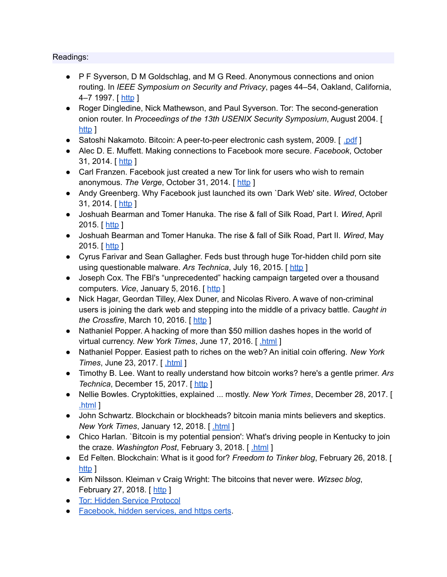- P F Syverson, D M Goldschlag, and M G Reed. Anonymous connections and onion routing. In *IEEE Symposium on Security and Privacy*, pages 44–54, Oakland, California, 4–7 1997. [ [http](http://www.dtic.mil/get-tr-doc/pdf?AD=ADA465126) ]
- Roger Dingledine, Nick Mathewson, and Paul Syverson. Tor: The second-generation onion router. In *Proceedings of the 13th USENIX Security Symposium*, August 2004. [ [http](http://static.usenix.org/legacy/events/sec04/tech/full_papers/dingledine/dingledine_html/) 1
- Satoshi Nakamoto. Bitcoin: A peer-to-peer electronic cash system, 2009. [ [.pdf](https://bitcoin.org/bitcoin.pdf) ]
- Alec D. E. Muffett. Making connections to Facebook more secure. *Facebook*, October 31, 2014. [ [http](https://www.facebook.com/notes/protect-the-graph/making-connections-to-facebook-more-secure/1526085754298237/?_fb_noscript=1) ]
- Carl Franzen. Facebook just created a new Tor link for users who wish to remain anonymous. *The Verge*, October 31, 2014. [ [http](http://www.theverge.com/2014/10/31/7137323/facebook-adds-direct-support-for-tor-anonymous-users) ]
- Andy Greenberg. Why Facebook just launched its own `Dark Web' site. *Wired*, October 31, 2014. [ [http](http://www.wired.com/2014/10/facebook-tor-dark-site/) ]
- Joshuah Bearman and Tomer Hanuka. The rise & fall of Silk Road, Part I. *Wired*, April 2015. [ $http$ ]
- Joshuah Bearman and Tomer Hanuka. The rise & fall of Silk Road, Part II. *Wired*, May 2015. [ [http](http://www.wired.com/2015/05/silk-road-2/) ]
- Cyrus Farivar and Sean Gallagher. Feds bust through huge Tor-hidden child porn site using questionable malware. *Ars Technica*, July 16, 2015. [ [http](http://arstechnica.com/tech-policy/2015/07/feds-bust-through-huge-tor-hidden-child-porn-site-using-questionable-malware/) ]
- Joseph Cox. The FBI's "unprecedented" hacking campaign targeted over a thousand computers. *Vice*, January 5, 2016. [[http](https://motherboard.vice.com/read/the-fbis-unprecedented-hacking-campaign-targeted-over-a-thousand-computers)]
- Nick Hagar, Geordan Tilley, Alex Duner, and Nicolas Rivero. A wave of non-criminal users is joining the dark web and stepping into the middle of a privacy battle. *Caught in the Crossfire*, March 10, 2016. [ [http](http://caught-in-the-crossfire.com/) ]
- Nathaniel Popper. A hacking of more than \$50 million dashes hopes in the world of virtual currency. *New York Times*, June 17, 2016. [ [.html](https://www.nytimes.com/2016/06/18/business/dealbook/hacker-may-have-removed-more-than-50-million-from-experimental-cybercurrency-project.html) ]
- Nathaniel Popper. Easiest path to riches on the web? An initial coin offering. *New York Times*, June 23, 2017. [ [.html](https://www.nytimes.com/2017/06/23/business/dealbook/coin-digital-currency.html) ]
- Timothy B. Lee. Want to really understand how bitcoin works? here's a gentle primer. *Ars Technica*, December 15, 2017. [[http](https://arstechnica.com/tech-policy/2017/12/how-bitcoin-works/) ]
- Nellie Bowles. Cryptokitties, explained ... mostly. *New York Times*, December 28, 2017. [ [.html](https://www.nytimes.com/2017/12/28/style/cryptokitties-want-a-blockchain-snuggle.html) ]
- John Schwartz. Blockchain or blockheads? bitcoin mania mints believers and skeptics. *New York Times*, January 12, 2018. [ [.html](https://www.nytimes.com/2018/01/12/business/blockchain-blockheads-bitcoin-mania.html) ]
- Chico Harlan. `Bitcoin is my potential pension': What's driving people in Kentucky to join the craze. *Washington Post*, February 3, 2018. [ [.html](https://www.washingtonpost.com/business/economy/bitcoin-is-my-potential-pension-what-is-driving-people-in-kentucky-to-join-the-craze/2018/02/03/aaaea3be-05dc-11e8-b48c-b07fea957bd5_story.html) ]
- Ed Felten. Blockchain: What is it good for? *Freedom to Tinker blog*, February 26, 2018. [ [http](https://freedom-to-tinker.com/2018/02/26/blockchain-what-is-it-good-for/) 1
- Kim Nilsson. Kleiman v Craig Wright: The bitcoins that never were. *Wizsec blog*, February 27, 2018. [[http](http://blog.wizsec.jp.convey.pro/l/wEXY6Bm) ]
- Tor: Hidden Service [Protocol](https://www.torproject.org/docs/hidden-services.html.en)
- [Facebook,](https://blog.torproject.org/blog/facebook-hidden-services-and-https-certs) hidden services, and https certs.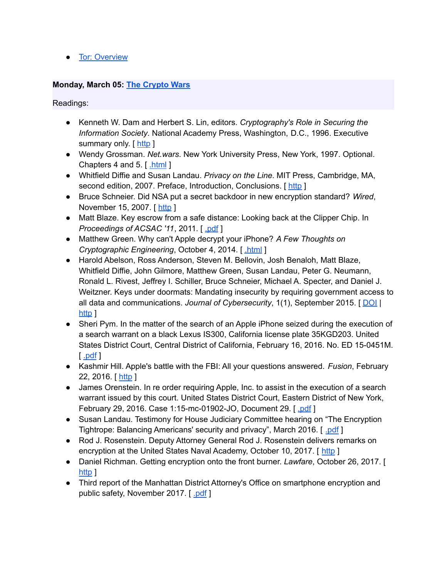● Tor: [Overview](http://www.torproject.org/overview.html)

#### **Monday, March 05: The [Crypto](https://www.cs.columbia.edu/~smb/classes/s18/l_cryptowars.pdf) Wars**

- Kenneth W. Dam and Herbert S. Lin, editors. *Cryptography's Role in Securing the Information Society*. National Academy Press, Washington, D.C., 1996. Executive summary only. [ [http](http://www.nap.edu/catalog/5131/cryptographys-role-in-securing-the-information-society) ]
- Wendy Grossman. *Net.wars*. New York University Press, New York, 1997. Optional. Chapters 4 and 5. [ [.html](https://nyupress.org/netwars/contents/contents.html) ]
- Whitfield Diffie and Susan Landau. *Privacy on the Line*. MIT Press, Cambridge, MA, second edition, 2007. Preface, Introduction, Conclusions. [[http](https://www.dropbox.com/s/rnkqcak89lkuor8/5572.pdf?dl=0)]
- Bruce Schneier. Did NSA put a secret backdoor in new encryption standard? *Wired*, November 15, 2007. [ [http](http://www.wired.com/2007/11/securitymatters-1115/) ]
- Matt Blaze. Key escrow from a safe distance: Looking back at the Clipper Chip. In *Proceedings of ACSAC '11*, 2011. [ [.pdf](https://www.acsac.org/2011/program/keynotes/blaze.pdf) ]
- Matthew Green. Why can't Apple decrypt your iPhone? *A Few Thoughts on Cryptographic Engineering*, October 4, 2014. [ [.html](http://blog.cryptographyengineering.com/2014/10/why-cant-apple-decrypt-your-iphone.html) ]
- Harold Abelson, Ross Anderson, Steven M. Bellovin, Josh Benaloh, Matt Blaze, Whitfield Diffie, John Gilmore, Matthew Green, Susan Landau, Peter G. Neumann, Ronald L. Rivest, Jeffrey I. Schiller, Bruce Schneier, Michael A. Specter, and Daniel J. Weitzner. Keys under doormats: Mandating insecurity by requiring government access to all data and communications. *Journal of Cybersecurity*, 1(1), September 2015. [ [DOI](http://dx.doi.org/10.1093/cybsec/tyv009) | [http](http://cybersecurity.oxfordjournals.org/content/early/2015/11/17/cybsec.tyv009) 1
- Sheri Pym. In the matter of the search of an Apple iPhone seized during the execution of a search warrant on a black Lexus IS300, California license plate 35KGD203. United States District Court, Central District of California, February 16, 2016. No. ED 15-0451M.  $\lceil$  [.pdf](https://assets.documentcloud.org/documents/2714001/SB-Shooter-Order-Compelling-Apple-Asst-iPhone.pdf)  $\rceil$
- Kashmir Hill. Apple's battle with the FBI: All your questions answered. *Fusion*, February 22, 2016. [ [http](https://fusion.net/story/271636/apples-battle-with-the-fbi/) ]
- James Orenstein. In re order requiring Apple, Inc. to assist in the execution of a search warrant issued by this court. United States District Court, Eastern District of New York, February 29, 2016. Case 1:15-mc-01902-JO, Document 29. [[.pdf](https://epic.org/amicus/crypto/apple/Orenstein-Order-Apple-iPhone-02292016.pdf)]
- Susan Landau. Testimony for House Judiciary Committee hearing on "The Encryption Tightrope: Balancing Americans' security and privacy", March 2016. [ [.pdf](https://judiciary.house.gov/wp-content/uploads/2016/02/Landau-Written-Testimony.pdf) ]
- Rod J. Rosenstein. Deputy Attorney General Rod J. Rosenstein delivers remarks on encryption at the United States Naval Academy, October 10, 2017. [ [http](https://www.justice.gov/opa/speech/deputy-attorney-general-rod-j-rosenstein-delivers-remarks-encryption-united-states-naval) ]
- Daniel Richman. Getting encryption onto the front burner. *Lawfare*, October 26, 2017. [ [http](https://www.lawfareblog.com/getting-encryption-front-burner) 1
- Third report of the Manhattan District Attorney's Office on smartphone encryption and public safety, November 2017. [ [.pdf](https://www.manhattanda.org/wp-content/themes/dany/files/2017%20Report%20of%20the%20Manhattan%20District%20Attorney%27s%20Office%20on%20Smartphone%20Encryption.pdf) ]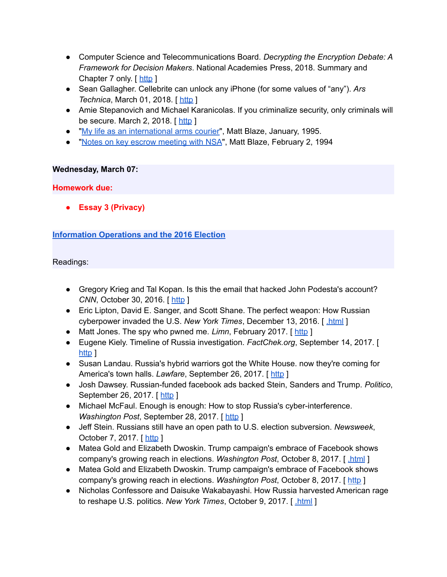- Computer Science and Telecommunications Board. *Decrypting the Encryption Debate: A Framework for Decision Makers*. National Academies Press, 2018. Summary and Chapter 7 only.  $\lceil \frac{\text{http}}{\text{http}} \rceil$  $\lceil \frac{\text{http}}{\text{http}} \rceil$  $\lceil \frac{\text{http}}{\text{http}} \rceil$
- Sean Gallagher. Cellebrite can unlock any iPhone (for some values of "any"). *Ars Technica*, March 01, 2018. [[http](https://arstechnica.com/information-technology/2018/02/cellebrite-can-unlock-any-iphone-for-some-values-of-any/) ]
- Amie Stepanovich and Michael Karanicolas. If you criminalize security, only criminals will be secure. March 2, 2018. [ $http$ ]
- "My life as an [international](http://www.crypto.com/papers/export.txt) arms courier", Matt Blaze, January, 1995.
- "Notes on key escrow [meeting](https://w2.eff.org/Privacy/Key_escrow/Clipper/nsa_escrow_plans.article) with NSA", Matt Blaze, February 2, 1994

#### **Wednesday, March 07:**

#### **Homework due:**

**● Essay 3 (Privacy)**

# **[Information](https://www.cs.columbia.edu/~smb/classes/s18/info-ops.pdf) Operations and the 2016 Election**

- Gregory Krieg and Tal Kopan. Is this the email that hacked John Podesta's account? *CNN*, October 30, 2016. [[http](http://www.cnn.com/2016/10/28/politics/phishing-email-hack-john-podesta-hillary-clinton-wikileaks/) ]
- Eric Lipton, David E. Sanger, and Scott Shane. The perfect weapon: How Russian cyberpower invaded the U.S. *New York Times*, December 13, 2016. [ [.html](https://www.nytimes.com/2016/12/13/us/politics/russia-hack-election-dnc.html) ]
- Matt Jones. The spy who pwned me. *Limn*, February 2017. [[http](http://limn.it/the-spy-who-pwned-me/) ]
- Eugene Kiely. Timeline of Russia investigation. *FactChek.org*, September 14, 2017. [ [http](http://www.factcheck.org/2017/06/timeline-russia-investigation/) 1
- Susan Landau. Russia's hybrid warriors got the White House. now they're coming for America's town halls. *Lawfare*, September 26, 2017. [[http](http://foreignpolicy.com/2017/09/26/russias-hybrid-warriors-are-coming-for-american-civil-society-hacking-trump-clinton/) ]
- Josh Dawsey. Russian-funded facebook ads backed Stein, Sanders and Trump. *Politico*, September 26, 2017. [ [http](http://www.politico.com/story/2017/09/26/facebook-russia-trump-sanders-stein-243172) ]
- Michael McFaul. Enough is enough: How to stop Russia's cyber-interference. *Washington Post, September 28, 2017.* [[http](https://www.washingtonpost.com/news/global-opinions/wp/2017/09/28/enough-is-enough-how-to-stop-russias-cyber-interference/?tid=ss_tw&utm_term=.ef93058ad27a) ]
- Jeff Stein. Russians still have an open path to U.S. election subversion. *Newsweek*, October 7, 2017. [[http](http://www.newsweek.com/spy-talk-jeff-stein-donald-trump-russia-homeland-security-election-russia-680179) ]
- Matea Gold and Elizabeth Dwoskin. Trump campaign's embrace of Facebook shows company's growing reach in elections. *Washington Post*, October 8, 2017. [ [.html](https://www.washingtonpost.com/politics/trump-campaigns-embrace-of-facebook-shows-companys-growing-reach-in-elections/2017/10/08/e5e5f156-a93b-11e7-b3aa-c0e2e1d41e38_story.html) ]
- Matea Gold and Elizabeth Dwoskin. Trump campaign's embrace of Facebook shows company's growing reach in elections. *Washington Post*, October 8, 2017. [ [http](https://www.washingtonpost.com/politics/trump-campaigns-embrace-of-facebook-shows-companys-growing-reach-in-elections/2017/10/08/e5e5f156-a93b-11e7-b3aa-c0e2e1d41e38_story.html?utm_term=.5ae0d383475e) ]
- Nicholas Confessore and Daisuke Wakabayashi. How Russia harvested American rage to reshape U.S. politics. *New York Times*, October 9, 2017. [ [.html](https://www.nytimes.com/2017/10/09/technology/russia-election-facebook-ads-rage.html) ]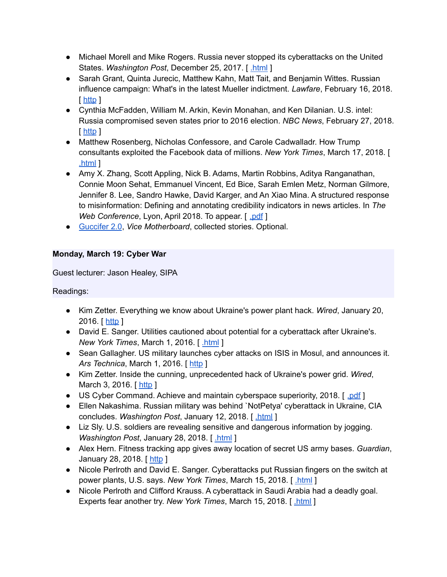- Michael Morell and Mike Rogers. Russia never stopped its cyberattacks on the United States. *Washington Post*, December 25, 2017. [ [.html](https://www.washingtonpost.com/opinions/russia-never-stopped-its-cyberattacks-on-the-united-states/2017/12/25/83076f2e-e676-11e7-a65d-1ac0fd7f097e_story.html) ]
- Sarah Grant, Quinta Jurecic, Matthew Kahn, Matt Tait, and Benjamin Wittes. Russian influence campaign: What's in the latest Mueller indictment. *Lawfare*, February 16, 2018. [ [http](https://lawfareblog.com/russian-influence-campaign-whats-latest-mueller-indictment) ]
- Cynthia McFadden, William M. Arkin, Kevin Monahan, and Ken Dilanian. U.S. intel: Russia compromised seven states prior to 2016 election. *NBC News*, February 27, 2018. [ [http](https://www.nbcnews.com/politics/elections/u-s-intel-russia-compromised-seven-states-prior-2016-election-n850296) ]
- Matthew Rosenberg, Nicholas Confessore, and Carole Cadwalladr. How Trump consultants exploited the Facebook data of millions. *New York Times*, March 17, 2018. [ [.html](https://www.nytimes.com/2018/03/17/us/politics/cambridge-analytica-trump-campaign.html) ]
- Amy X. Zhang, Scott Appling, Nick B. Adams, Martin Robbins, Aditya Ranganathan, Connie Moon Sehat, Emmanuel Vincent, Ed Bice, Sarah Emlen Metz, Norman Gilmore, Jennifer 8. Lee, Sandro Hawke, David Karger, and An Xiao Mina. A structured response to misinformation: Defining and annotating credibility indicators in news articles. In *The Web Conference*, Lyon, April 2018. To appear. [ .*pdf* ]
- [Guccifer](https://motherboard.vice.com/en_us/topic/guccifer-20) 2.0, *Vice Motherboard*, collected stories. Optional.

# **Monday, March 19: Cyber War**

Guest lecturer: Jason Healey, SIPA

- Kim Zetter. Everything we know about Ukraine's power plant hack. *Wired*, January 20, 2016. [ [http](http://www.wired.com/2016/01/everything-we-know-about-ukraines-power-plant-hack/) ]
- David E. Sanger. Utilities cautioned about potential for a cyberattack after Ukraine's. *New York Times*, March 1, 2016. [ [.html](http://www.nytimes.com/2016/03/01/us/politics/utilities-cautioned-about-potential-for-a-cyberattack-after-ukraines.html) ]
- Sean Gallagher. US military launches cyber attacks on ISIS in Mosul, and announces it. *Ars Technica*, March 1, 2016. [ [http](http://arstechnica.com/information-technology/2016/03/us-military-launches-cyber-attacks-on-isis-in-mosul-and-announces-it/) ]
- Kim Zetter. Inside the cunning, unprecedented hack of Ukraine's power grid. *Wired*, March 3, 2016. [[http](http://www.wired.com/2016/03/inside-cunning-unprecedented-hack-ukraines-power-grid/) ]
- US Cyber Command. Achieve and maintain cyberspace superiority, 2018. [ [.pdf](https://www.thecipherbrief.com/wp-content/uploads/2018/02/Cyber-Command-Achieve-and-Maintain-Cyber-Superiority-1.pdf) ]
- Ellen Nakashima. Russian military was behind `NotPetya' cyberattack in Ukraine, CIA concludes. *Washington Post*, January 12, 2018. [ [.html](https://www.washingtonpost.com/world/national-security/russian-military-was-behind-notpetya-cyberattack-in-ukraine-cia-concludes/2018/01/12/048d8506-f7ca-11e7-b34a-b85626af34ef_story.html) ]
- Liz Sly. U.S. soldiers are revealing sensitive and dangerous information by jogging. *Washington Post*, January 28, 2018. [ [.html](https://www.washingtonpost.com/world/a-map-showing-the-users-of-fitness-devices-lets-the-world-see-where-us-soldiers-are-and-what-they-are-doing/2018/01/28/86915662-0441-11e8-aa61-f3391373867e_story.html) ]
- Alex Hern. Fitness tracking app gives away location of secret US army bases. *Guardian*, January 28, 2018. [ [http](https://www.theguardian.com/world/2018/jan/28/fitness-tracking-app-gives-away-location-of-secret-us-army-bases) ]
- Nicole Perlroth and David E. Sanger. Cyberattacks put Russian fingers on the switch at power plants, U.S. says. *New York Times*, March 15, 2018. [ [.html](https://www.nytimes.com/2018/03/15/us/politics/russia-cyberattacks.html) ]
- Nicole Perlroth and Clifford Krauss. A cyberattack in Saudi Arabia had a deadly goal. Experts fear another try. *New York Times*, March 15, 2018. [ [.html](https://www.nytimes.com/2018/03/15/technology/saudi-arabia-hacks-cyberattacks.html) ]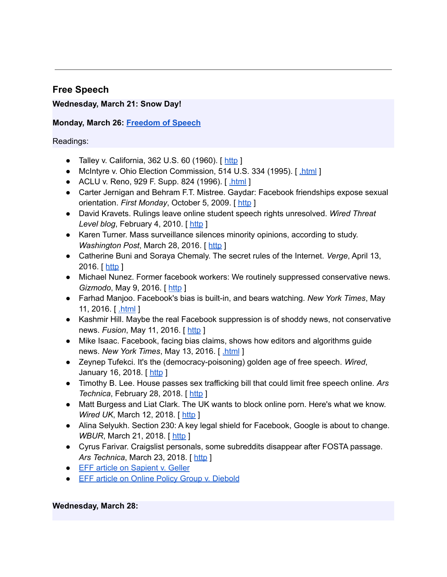# **Free Speech**

# **Wednesday, March 21: Snow Day!**

# **Monday, March 26: [Freedom](https://www.cs.columbia.edu/~smb/classes/s18/l_speech.pdf) of Speech**

Readings:

- Talley v. California,  $362$  U.S.  $60$  (1960). [[http](http://caselaw.lp.findlaw.com/scripts/getcase.pl?court=US&vol=362&invol=60) ]
- McIntyre v. Ohio Election Commission, 514 U.S. 334 (1995). [[.html](http://www.law.cornell.edu/supct/html/93-986.ZO.html) ]
- ACLU v. Reno, 929 F. Supp. 824 (1996). [ [.html](http://www.mit.edu/activities/safe/legal/cda-decision.html) ]
- Carter Jernigan and Behram F.T. Mistree. Gaydar: Facebook friendships expose sexual orientation. *First Monday*, October 5, 2009. [ [http](http://firstmonday.org/article/view/2611/2302) ]
- David Kravets. Rulings leave online student speech rights unresolved. *Wired Threat Level blog*, February 4, 2010. [[http](https://www.wired.com/2010/02/rulings-leave-us-student-speech-rights-unresolved/) ]
- Karen Turner. Mass surveillance silences minority opinions, according to study. *Washington Post*, March 28, 2016. [ [http](https://www.washingtonpost.com/news/the-switch/wp/2016/03/28/mass-surveillance-silences-minority-opinions-according-to-study/) ]
- Catherine Buni and Soraya Chemaly. The secret rules of the Internet. *Verge*, April 13, 2016. [ [http](http://www.theverge.com/2016/4/13/11387934/internet-moderator-history-youtube-facebook-reddit-censorship-free-speech) ]
- Michael Nunez. Former facebook workers: We routinely suppressed conservative news. *Gizmodo*, May 9, 2016. [[http](http://gizmodo.com/former-facebook-workers-we-routinely-suppressed-conser-1775461006?rev=1462799465508) ]
- Farhad Manjoo. Facebook's bias is built-in, and bears watching. *New York Times*, May 11, 2016. [ [.html](http://www.nytimes.com/2016/05/12/technology/facebooks-bias-is-built-in-and-bears-watching.html) ]
- Kashmir Hill. Maybe the real Facebook suppression is of shoddy news, not conservative news. *Fusion*, May 11, 2016. [ [http](http://fusion.net/story/301156/facebook-suppression-conservative-news-shoddy-news/) ]
- Mike Isaac. Facebook, facing bias claims, shows how editors and algorithms guide news. *New York Times*, May 13, 2016. [ [.html](http://www.nytimes.com/2016/05/13/technology/facebook-guidelines-trending-topics.html) ]
- Zeynep Tufekci. It's the (democracy-poisoning) golden age of free speech. *Wired*, January 16, 2018. [ [http](https://www.wired.com/story/free-speech-issue-tech-turmoil-new-censorship/) ]
- Timothy B. Lee. House passes sex trafficking bill that could limit free speech online. *Ars Technica*, February 28, 2018. [ [http](https://arstechnica.com/tech-policy/2018/02/why-a-house-passed-online-sex-trafficking-bill-could-hurt-victims/) ]
- Matt Burgess and Liat Clark. The UK wants to block online porn. Here's what we know. *Wired UK*, March 12, 2018. [[http](http://www.wired.co.uk/article/porn-block-ban-in-the-uk-age-verifcation-law) ]
- Alina Selyukh. Section 230: A key legal shield for Facebook, Google is about to change. *WBUR*, March 21, 2018. [[http](http://www.wbur.org/npr/591622450/section-230-a-key-legal-shield-for-facebook-google-is-about-to-change) ]
- Cyrus Farivar. Craigslist personals, some subreddits disappear after FOSTA passage. *Ars Technica*, March 23, 2018. [ [http](https://arstechnica.com/tech-policy/2018/03/craigslist-personals-some-subreddits-disappear-with-fosta-passage/) ]
- EFF article on [Sapient](http://www.eff.org/cases/sapient-v-geller) v. Geller
- EFF article on Online Policy Group v. [Diebold](http://www.eff.org/cases/online-policy-group-v-diebold/)

#### **Wednesday, March 28:**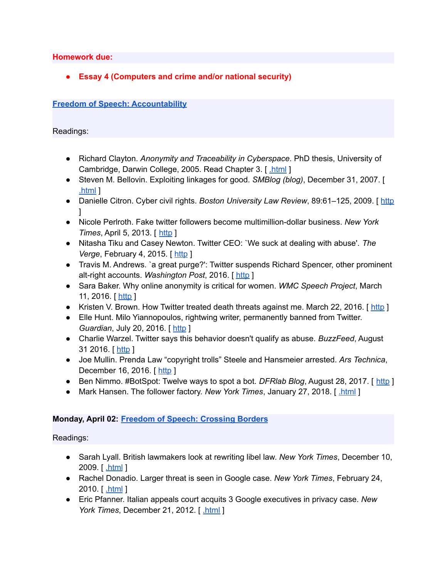**Homework due:**

**● Essay 4 (Computers and crime and/or national security)**

# **Freedom of Speech: [Accountability](https://www.cs.columbia.edu/~smb/classes/s18/l_accountability.pdf)**

Readings:

- Richard Clayton. *Anonymity and Traceability in Cyberspace*. PhD thesis, University of Cambridge, Darwin College, 2005. Read Chapter 3. [ [.html](http://www.cl.cam.ac.uk/techreports/UCAM-CL-TR-653.html) ]
- Steven M. Bellovin. Exploiting linkages for good. *SMBlog (blog)*, December 31, 2007. [ [.html](https://www.cs.columbia.edu/~smb/blog/2007-12/2007-12-31a.html) ]
- Danielle Citron. Cyber civil rights. *Boston University Law Review*, 89:61–125, 2009. [ [http](http://digitalcommons.law.umaryland.edu/cgi/viewcontent.cgi?article=1611&context=fac_pubs) ]
- Nicole Perlroth. Fake twitter followers become multimillion-dollar business. *New York Times*, April 5, 2013. [ [http](https://bits.blogs.nytimes.com/2013/04/05/fake-twitter-followers-becomes-multimillion-dollar-business/) ]
- Nitasha Tiku and Casey Newton. Twitter CEO: `We suck at dealing with abuse'. *The Verge*, February 4, 2015. [ [http](http://www.theverge.com/2015/2/4/7982099/twitter-ceo-sent-memo-taking-personal-responsibility-for-the) ]
- Travis M. Andrews. `a great purge?': Twitter suspends Richard Spencer, other prominent alt-right accounts. *Washington Post*, 2016. [ [http](https://www.washingtonpost.com/news/morning-mix/wp/2016/11/16/a-great-purge-twitter-suspends-richard-spencer-other-prominent-alt-right-accounts/) ]
- Sara Baker. Why online anonymity is critical for women. *WMC Speech Project*, March 11, 2016. [[http](http://wmcspeechproject.com/2016/03/11/why-online-anonymity-is-critical-for-women/?platform=hootsuite) ]
- Kristen V. Brown. How Twitter treated death threats against me. March 22, 2016. [ [http](http://fusion.net/story/283089/twitter-harassment-policy-enforcement/) ]
- Elle Hunt. Milo Yiannopoulos, rightwing writer, permanently banned from Twitter. *Guardian, July 20, 2016.* [[http](https://www.theguardian.com/technology/2016/jul/20/milo-yiannopoulos-nero-permanently-banned-twitter) ]
- Charlie Warzel. Twitter says this behavior doesn't qualify as abuse. *BuzzFeed*, August 31 2016. [ [http](https://www.buzzfeed.com/charliewarzel/twitter-doesnt-think-wishing-rape-on-a-woman-counts-as-haras) ]
- Joe Mullin. Prenda Law "copyright trolls" Steele and Hansmeier arrested. *Ars Technica*, December 16, 2016. [ [http](https://arstechnica.com/tech-policy/2016/12/breaking-prenda-law-copyright-trolls-steele-and-hansmeier-arrested/) ]
- Ben Nimmo. #BotSpot: Twelve ways to spot a bot. *DFRIab Blog*, August 28, 2017. [ [http](https://medium.com/dfrlab/botspot-twelve-ways-to-spot-a-bot-aedc7d9c110c) ]
- Mark Hansen. The follower factory. *New York Times*, January 27, 2018. [ [.html](https://www.nytimes.com/interactive/2018/01/27/technology/social-media-bots.html) ]

# **Monday, April 02: Freedom of Speech: [Crossing](https://www.cs.columbia.edu/~smb/classes/s18/l_borders.pdf) Borders**

- Sarah Lyall. British lawmakers look at rewriting libel law. *New York Times*, December 10, 2009. [ [.html](https://www.nytimes.com/2009/12/11/world/europe/11libel.html) ]
- Rachel Donadio. Larger threat is seen in Google case. *New York Times*, February 24, 2010. [ [.html](https://www.nytimes.com/2010/02/25/technology/companies/25google.html) ]
- Eric Pfanner. Italian appeals court acquits 3 Google executives in privacy case. *New York Times*, December 21, 2012. [ [.html](https://www.nytimes.com/2012/12/22/business/global/italian-appeals-court-acquits-3-google-executives-in-privacy-case.html) ]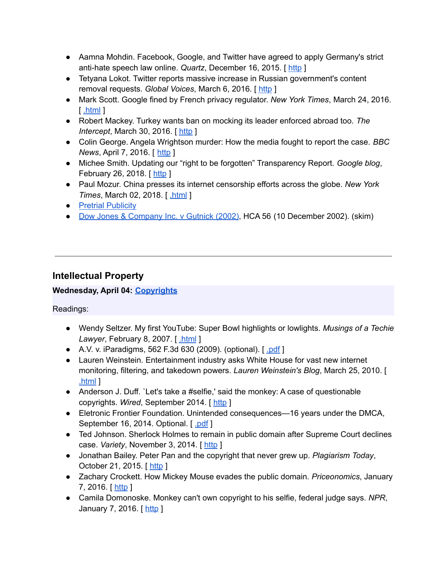- Aamna Mohdin. Facebook, Google, and Twitter have agreed to apply Germany's strict anti-hate speech law online. *Quartz*, December 16, 2015. [ [http](http://qz.com/575268/facebook-google-and-twitter-have-agreed-to-apply-germanys-strict-anti-hate-speech-law-online/) ]
- Tetyana Lokot. Twitter reports massive increase in Russian government's content removal requests. *Global Voices*, March 6, 2016. [ [http](https://advox.globalvoices.org/2016/03/06/twitter-reports-massive-increase-in-russian-governments-content-removal-requests/) ]
- Mark Scott. Google fined by French privacy regulator. *New York Times*, March 24, 2016. [ [.html](http://www.nytimes.com/2016/03/25/technology/google-fined-by-french-privacy-regulator.html) ]
- Robert Mackey. Turkey wants ban on mocking its leader enforced abroad too. *The Intercept*, March 30, 2016. [[http](https://theintercept.com/2016/03/30/turkey-wants-ban-on-mocking-its-leader-enforced-abroad-too/) ]
- Colin George. Angela Wrightson murder: How the media fought to report the case. *BBC News*, April 7, 2016. [ [http](http://www.bbc.co.uk/news/uk-england-tees-35977100) ]
- Michee Smith. Updating our "right to be forgotten" Transparency Report. *Google blog*, February 26, 2018. [ [http](https://www.blog.google/topics/google-europe/updating-our-right-be-forgotten-transparency-report/) ]
- Paul Mozur. China presses its internet censorship efforts across the globe. *New York Times*, March 02, 2018. [[.html](https://www.nytimes.com/2018/03/02/technology/china-technology-censorship-borders-expansion.html) ]
- Pretrial [Publicity](http://legal-dictionary.thefreedictionary.com/Pretrial+Publicity)
- Dow Jones & [Company](http://www.kentlaw.edu/perritt/courses/civpro/Dow%20Jones%20&%20Company%20Inc_%20v%20Gutnick%20%5B2002%5D%20HCA%2056%20%2810%20December%202002%29.htm) Inc. v Gutnick (2002), HCA 56 (10 December 2002). (skim)

# **Intellectual Property**

# **Wednesday, April 04: [Copyrights](https://www.cs.columbia.edu/~smb/classes/s18/l_copyright.pdf)**

- Wendy Seltzer. My first YouTube: Super Bowl highlights or lowlights. *Musings of a Techie Lawyer*, February 8, 2007. [ [.html](http://wendy.seltzer.org/blog/archives/DMCA.html) ]
- A.V. v. iParadigms, 562 F.3d 630 (2009). (optional). [ [.pdf](http://www.nyls.edu/wp-content/uploads/sites/141/2013/08/562-F.3d-630-A.V.-v.-iParadigms.pdf) ]
- Lauren Weinstein. Entertainment industry asks White House for vast new internet monitoring, filtering, and takedown powers. *Lauren Weinstein's Blog*, March 25, 2010. [ [.html](https://lauren.vortex.com/archive/000699.html) ]
- Anderson J. Duff. `Let's take a #selfie,' said the monkey: A case of questionable copyrights. *Wired*, September 2014. [ [http](http://www.wired.com/insights/2014/09/questionable-copyrights/) ]
- Eletronic Frontier Foundation. Unintended consequences—16 years under the DMCA, September 16, 2014. Optional. [ [.pdf](https://www.eff.org/files/2014/09/16/unintendedconsequences2014.pdf) ]
- Ted Johnson. Sherlock Holmes to remain in public domain after Supreme Court declines case. *Variety*, November 3, 2014. [[http](http://variety.com/2014/biz/news/sherlock-holmes-case-decision-public-domain-1201346225/) ]
- Jonathan Bailey. Peter Pan and the copyright that never grew up. *Plagiarism Today*, October 21, 2015. [[http](https://www.plagiarismtoday.com/2015/10/21/peter-pan-and-the-copyright-that-never-grew-up/) ]
- Zachary Crockett. How Mickey Mouse evades the public domain. *Priceonomics*, January 7, 2016. [ [http](http://priceonomics.com/how-mickey-mouse-evades-the-public-domain/) ]
- Camila Domonoske. Monkey can't own copyright to his selfie, federal judge says. *NPR*, January 7, 2016. [[http](http://www.npr.org/sections/thetwo-way/2016/01/07/462245189/federal-judge-says-monkey-cant-own-copyright-to-his-selfie) ]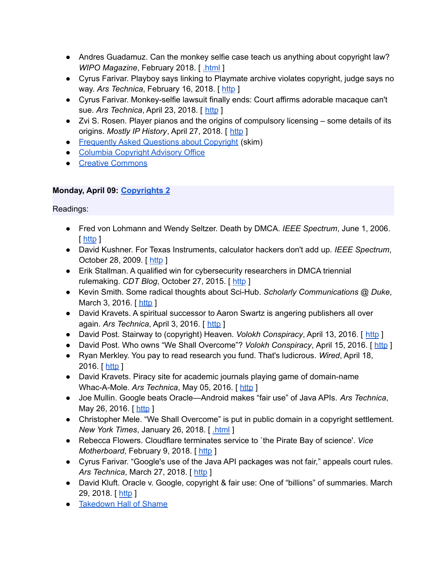- Andres Guadamuz. Can the monkey selfie case teach us anything about copyright law? *WIPO Magazine*, February 2018. [ [.html](http://www.wipo.int/wipo_magazine/en/2018/01/article_0007.html) ]
- Cyrus Farivar. Playboy says linking to Playmate archive violates copyright, judge says no way. *Ars Technica*, February 16, 2018. [ [http](https://arstechnica.com/tech-policy/2018/02/judge-strips-playboy-of-flimsy-copyright-lawsuit-against-boing-boing/) ]
- Cyrus Farivar. Monkey-selfie lawsuit finally ends: Court affirms adorable macaque can't sue. *Ars Technica*, April 23, 2018. [ [http](https://arstechnica.com/tech-policy/2018/04/monkey-selfie-lawsuit-finally-ends-court-affirms-adorable-macaque-cant-sue/) ]
- Zvi S. Rosen. Player pianos and the origins of compulsory licensing some details of its origins. *Mostly IP History*, April 27, 2018. [ [http](http://www.zvirosen.com/2018/04/27/player-pianos-and-the-origins-of-compulsory-licensing-some-details-of-its-origins/) ]
- [Frequently](http://www.copyright.gov/help/faq/) Asked Questions about Copyright (skim)
- Columbia [Copyright](https://copyright.columbia.edu/) Advisory Office
- Creative [Commons](http://creativecommons.org/)

# **Monday, April 09: [Copyrights](https://www.cs.columbia.edu/~smb/classes/s18/l_copyright2.pdf) 2**

- Fred von Lohmann and Wendy Seltzer. Death by DMCA. *IEEE Spectrum*, June 1, 2006. [ [http](https://spectrum.ieee.org/computing/software/death-by-dmca) ]
- David Kushner. For Texas Instruments, calculator hackers don't add up. *IEEE Spectrum*, October 28, 2009. [[http](https://spectrum.ieee.org/consumer-electronics/gadgets/for-texas-instruments-calculator-hackers-dont-add-up/0) ]
- Erik Stallman. A qualified win for cybersecurity researchers in DMCA triennial rulemaking. *CDT Blog*, October 27, 2015. [ [http](https://cdt.org/blog/a-qualified-win-for-cybersecurity-researchers-in-dmca-triennial-rulemaking/) ]
- Kevin Smith. Some radical thoughts about Sci-Hub. *Scholarly Communications @ Duke*, March 3, 2016. [ [http](http://blogs.library.duke.edu/scholcomm/author/ksmithl2duke-edu/) ]
- David Kravets. A spiritual successor to Aaron Swartz is angering publishers all over again. *Ars Technica*, April 3, 2016. [ [http](http://arstechnica.com/tech-policy/2016/04/a-spiritual-successor-to-aaron-swartz-is-angering-publishers-all-over-again/) ]
- David Post. Stairway to (copyright) Heaven. *Volokh Conspiracy*, April 13, 2016. [ [http](https://www.washingtonpost.com/news/volokh-conspiracy/wp/2016/04/13/stairway-to-copyright-heaven/) ]
- David Post. Who owns "We Shall Overcome"? *Volokh Conspiracy*, April 15, 2016. [[http](https://www.washingtonpost.com/news/volokh-conspiracy/wp/2016/04/15/who-owns-we-shall-overcome/) ]
- Ryan Merkley. You pay to read research you fund. That's ludicrous. *Wired*, April 18, 2016. [ [http](http://www.wired.com/2016/04/stealing-publicly-funded-research-isnt-stealing/) ]
- David Kravets. Piracy site for academic journals playing game of domain-name Whac-A-Mole. *Ars Technica*, May 05, 2016. [ [http](https://arstechnica.com/tech-policy/2016/05/piracy-site-for-academic-journals-playing-game-of-domain-name-whac-a-mole/) ]
- Joe Mullin. Google beats Oracle—Android makes "fair use" of Java APIs. *Ars Technica*, May 26, 2016. [ [http](https://arstechnica.com/tech-policy/2016/05/google-wins-trial-against-oracle-as-jury-finds-android-is-fair-use/) ]
- Christopher Mele. "We Shall Overcome" is put in public domain in a copyright settlement. *New York Times*, January 26, 2018. [ [.html](https://www.nytimes.com/2018/01/26/business/media/we-shall-overcome-copyright.html) ]
- Rebecca Flowers. Cloudflare terminates service to `the Pirate Bay of science'. *Vice Motherboard*, February 9, 2018. [[http](https://motherboard.vice.com/en_us/article/59kgv5/cloudflare-terminates-service-to-the-pirate-bay-of-science) ]
- Cyrus Farivar. "Google's use of the Java API packages was not fair," appeals court rules. *Ars Technica*, March 27, 2018. [ [http](https://arstechnica.com/tech-policy/2018/03/googles-use-of-the-java-api-packages-was-not-fair-appeals-court-rules/) ]
- David Kluft. Oracle v. Google, copyright & fair use: One of "billions" of summaries. March 29, 2018. [ [http](http://www.trademarkandcopyrightlawblog.com/2018/03/oracle-v-google-copyright-fair-use-one-of-billions-of-summaries/) ]
- [Takedown](https://www.eff.org/takedowns) Hall of Shame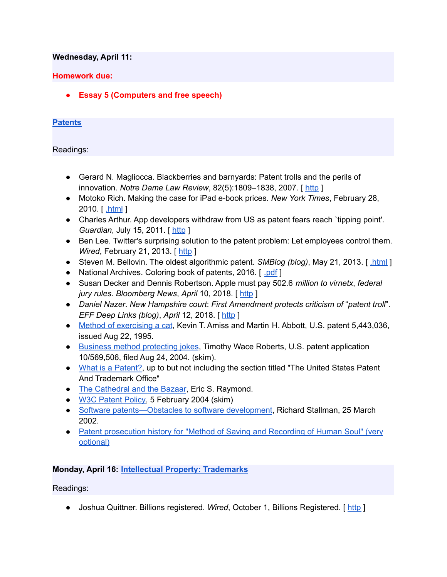#### **Wednesday, April 11:**

#### **Homework due:**

**● Essay 5 (Computers and free speech)**

#### **[Patents](https://www.cs.columbia.edu/~smb/classes/s18/l_patents.pdf)**

Readings:

- Gerard N. Magliocca. Blackberries and barnyards: Patent trolls and the perils of innovation. *Notre Dame Law Review*, 82(5):1809–1838, 2007. [ [http](https://papers.ssrn.com/sol3/papers.cfm?abstract_id=921252) ]
- Motoko Rich. Making the case for iPad e-book prices. *New York Times*, February 28, 2010. [ [.html](https://www.nytimes.com/2010/03/01/business/media/01ebooks.html) ]
- Charles Arthur. App developers withdraw from US as patent fears reach `tipping point'. *Guardian, July 15, 2011.* [[http](https://www.theguardian.com/technology/appsblog/2011/jul/15/app-developers-withdraw-us-patents) ]
- Ben Lee. Twitter's surprising solution to the patent problem: Let employees control them. *Wired*, February 21, 2013. [ [http](http://www.wired.com/2013/02/twitters-ingenious-solution-to-the-patent-problem-let-inventors-control-the-patents) ]
- Steven M. Bellovin. The oldest algorithmic patent. *SMBlog (blog)*, May 21, 2013. [html]
- National Archives. Coloring book of patents, 2016. [ [.pdf](https://archivesaotus.files.wordpress.com/2016/02/patentscoloringbook.pdf) ]
- Susan Decker and Dennis Robertson. Apple must pay 502.6 *million to virnetx*, *federal jury rules*. *Bloomberg News*, *April* 10, 2018. [ [http](https://www.bloomberg.com/news/articles/2018-04-10/apple-owes-502-6-million-to-virnetx-says-federal-jury-in-texas) ]
- *Daniel Nazer*. *New Hampshire court*: *First Amendment protects criticism of* "*patent troll*". *EFF Deep Links (blog)*, *April* 12, 2018. [ [http](https://www.eff.org/deeplinks/2018/04/new-hampshire-court-first-amendment-protects-criticism-patent-troll) ]
- Method of [exercising](https://patents.google.com/patent/US5443036) a cat, Kevin T. Amiss and Martin H. Abbott, U.S. patent 5,443,036, issued Aug 22, 1995.
- Business method [protecting](https://patents.google.com/patent/WO2005022287A2) jokes, Timothy Wace Roberts, U.S. patent application 10/569,506, filed Aug 24, 2004. (skim).
- What is a [Patent?,](http://www.uspto.gov/web/offices/pac/doc/general/index.html#patent) up to but not including the section titled "The United States Patent" And Trademark Office"
- The [Cathedral](http://www.catb.org/esr/writings/cathedral-bazaar/) and the Bazaar, Eric S. Raymond.
- W3C [Patent](https://www.w3.org/Consortium/Patent-Policy-20170801/) Policy, 5 February 2004 (skim)
- Software [patents—Obstacles](https://www.gnu.org/philosophy/software-patents.html) to software development, Richard Stallman, 25 March 2002.
- Patent [prosecution](https://www.cs.columbia.edu/~smb/classes/s18/Files/11613380.pdf) history for "Method of Saving and Recording of Human Soul" (very [optional\)](https://www.cs.columbia.edu/~smb/classes/s18/Files/11613380.pdf)

# **Monday, April 16: Intellectual Property: [Trademarks](https://www.cs.columbia.edu/~smb/classes/s18/l_trademarks.pdf)**

Readings:

● Joshua Quittner. Billions registered. *Wired*, October 1, Billions Registered. [ [http](https://www.wired.com/1994/10/mcdonalds/) ]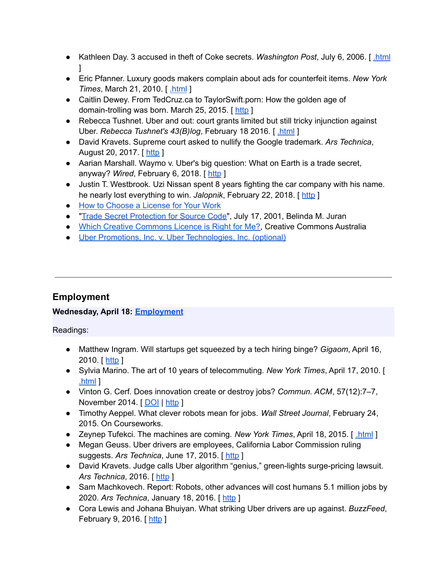- Kathleen Day. 3 accused in theft of Coke secrets. *Washington Post*, July 6, 2006. [ [.html](http://www.washingtonpost.com/wp-dyn/content/article/2006/07/05/AR2006070501717.html)  $\mathbf{1}$
- Eric Pfanner. Luxury goods makers complain about ads for counterfeit items. *New York Times*, March 21, 2010. [ [.html](https://www.nytimes.com/2010/03/22/technology/22iht-brands.html) ]
- Caitlin Dewey. From TedCruz.ca to TaylorSwift.porn: How the golden age of domain-trolling was born. March 25, 2015. [[http](https://www.washingtonpost.com/news/the-intersect/wp/2015/03/25/from-tedcruz-ca-to-taylorswift-porn-how-the-golden-age-of-domain-trolling-was-born/?utm_term=.489534058a43)]
- Rebecca Tushnet. Uber and out: court grants limited but still tricky injunction against Uber. *Rebecca Tushnet's 43(B)log*, February 18 2016. [ [.html](http://tushnet.blogspot.com/2016/02/uber-and-out-court-grants-limited-but.html) ]
- David Kravets. Supreme court asked to nullify the Google trademark. *Ars Technica*, August 20, 2017. [ [http](https://arstechnica.com/tech-policy/2017/08/supreme-court-asked-to-nullify-the-google-trademark/) ]
- Aarian Marshall. Waymo v. Uber's big question: What on Earth is a trade secret, anyway? *Wired*, February 6, 2018. [ [http](https://www.wired.com/story/waymo-uber-trial-kalanick-testimony/) ]
- Justin T. Westbrook. Uzi Nissan spent 8 years fighting the car company with his name. he nearly lost everything to win. *Jalopnik*, February 22, 2018. [[http](https://jalopnik.com/uzi-nissan-spent-8-years-fighting-the-car-company-with-1822815832?utm_medium=sharefromsite&utm_source=Jalopnik_twitter) ]
- How to [Choose](http://www.gnu.org/licenses/license-recommendations.html) a License for Your Work
- **•** "Trade Secret [Protection](https://www.wilmerhale.com/pages/publicationsandnewsdetail.aspx?NewsPubId=91018) for Source Code", July 17, 2001, Belinda M. Juran
- Which Creative [Commons](http://creativecommons.org.au/content/licensing-flowchart.pdf) Licence is Right for Me?, Creative Commons Australia
- Uber Promotions, Inc. v. Uber [Technologies,](https://www.cs.columbia.edu/~smb/classes/s18/Files/Uber_Promotions_v._Uber_Technologies.pdf) Inc. (optional)

# **Employment**

# **Wednesday, April 18: [Employment](https://www.cs.columbia.edu/~smb/classes/s18/l_employment.pdf)**

- Matthew Ingram. Will startups get squeezed by a tech hiring binge? *Gigaom*, April 16, 2010. [[http](https://gigaom.com/2010/04/16/will-startups-get-squeezed-by-a-tech-hiring-binge/) ]
- Sylvia Marino. The art of 10 years of telecommuting. *New York Times*, April 17, 2010. [ [.html](https://www.nytimes.com/2010/04/18/jobs/18pre.html) ]
- Vinton G. Cerf. Does innovation create or destroy jobs? *Commun. ACM*, 57(12):7–7, November 2014. [[DOI](http://dx.doi.org/10.1145/2685035) | [http](http://doi.acm.org/10.1145/2685035) ]
- Timothy Aeppel. What clever robots mean for jobs. *Wall Street Journal*, February 24, 2015. On Courseworks.
- Zeynep Tufekci. The machines are coming. *New York Times*, April 18, 2015. [ [.html](https://www.nytimes.com/2015/04/19/opinion/sunday/the-machines-are-coming.html) ]
- Megan Geuss. Uber drivers are employees, California Labor Commission ruling suggests. *Ars Technica*, June 17, 2015. [ [http](http://arstechnica.com/business/2015/06/uber-drivers-are-employees-california-labor-commission-rules/) ]
- David Kravets. Judge calls Uber algorithm "genius," green-lights surge-pricing lawsuit. *Ars Technica*, 2016. [ [http](http://arstechnica.com/tech-policy/2016/04/judge-calls-uber-algorithm-genius-green-lights-surge-pricing-lawsuit/) ]
- Sam Machkovech. Report: Robots, other advances will cost humans 5.1 million jobs by 2020. *Ars Technica*, January 18, 2016. [ [http](http://arstechnica.com/business/2016/01/report-robots-other-advances-will-cost-humans-5-1-million-jobs-by-2020/) ]
- Cora Lewis and Johana Bhuiyan. What striking Uber drivers are up against. *BuzzFeed*, February 9, 2016. [ [http](http://www.buzzfeed.com/coralewis/what-uber-strikers-are-up-against?utm_term=.rbpaWy949#.dgbzONZLZ) ]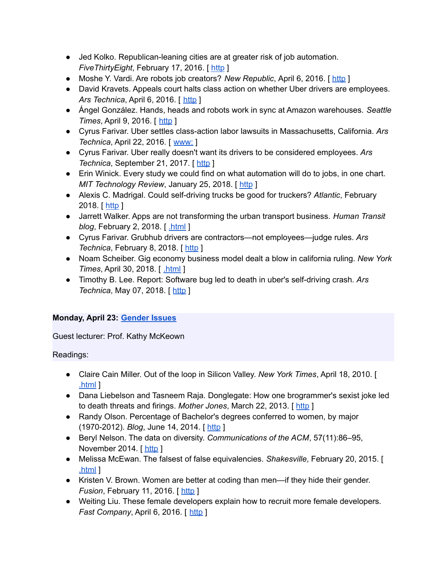- Jed Kolko. Republican-leaning cities are at greater risk of job automation. *FiveThirtyEight*, February 17, 2016. [[http](http://fivethirtyeight.com/features/republican-leaning-cities-are-at-greater-risk-of-job-automation/)]
- Moshe Y. Vardi. Are robots job creators? *New Republic*, April 6, 2016. [[http](https://newrepublic.com/article/132441/robots-job-creators) ]
- David Kravets. Appeals court halts class action on whether Uber drivers are employees. *Ars Technica*, *April 6, 2016.* [*[http](http://arstechnica.com/tech-policy/2016/04/appeals-court-halts-class-action-on-whether-uber-drivers-are-employees/)* ]
- Ángel González. Hands, heads and robots work in sync at Amazon warehouses. *Seattle Times*, April 9, 2016. [ [http](http://www.seattletimes.com/business/amazon/at-amazon-warehouses-humans-and-robots-are-in-sync/) ]
- Cyrus Farivar. Uber settles class-action labor lawsuits in Massachusetts, California. *Ars Technica*, April 22, 2016. [ [www:](https://www.cs.columbia.edu/~smb/classes/s18/2016-04-22) ]
- Cyrus Farivar. Uber really doesn't want its drivers to be considered employees. *Ars Technica*, September 21, 2017. [ [http](https://arstechnica.com/tech-policy/2017/09/uber-really-doesnt-want-its-drivers-to-be-considered-employees/) ]
- Erin Winick. Every study we could find on what automation will do to jobs, in one chart. *MIT Technology Review*, January 25, 2018. [ [http](https://www.technologyreview.com/s/610005/every-study-we-could-find-on-what-automation-will-do-to-jobs-in-one-chart/) ]
- Alexis C. Madrigal. Could self-driving trucks be good for truckers? *Atlantic*, February 2018. [ [http](https://www.theatlantic.com/technology/archive/2018/02/uber-says-its-self-driving-trucks-will-be-good-for-truckers/551879/) ]
- Jarrett Walker. Apps are not transforming the urban transport business. *Human Transit blog*, February 2, 2018. [ [.html](http://humantransit.org/2018/02/breaking-urban-transport-is-not-a-profitable-business.html) ]
- Cyrus Farivar. Grubhub drivers are contractors—not employees—judge rules. *Ars Technica*, February 8, 2018. [[http](https://arstechnica.com/tech-policy/2018/02/grubhub-drivers-are-contractors-not-employees-judge-rules/) ]
- Noam Scheiber. Gig economy business model dealt a blow in california ruling. *New York Times*, April 30, 2018. [ [.html](https://www.nytimes.com/2018/04/30/business/economy/gig-economy-ruling.html) ]
- Timothy B. Lee. Report: Software bug led to death in uber's self-driving crash. *Ars Technica*, May 07, 2018. [ [http](https://arstechnica.com/tech-policy/2018/05/report-software-bug-led-to-death-in-ubers-self-driving-crash/) ]

# **Monday, April 23: [Gender](https://www.cs.columbia.edu/~smb/classes/s18/l_gender.pdf) Issues**

Guest lecturer: Prof. Kathy McKeown

- Claire Cain Miller. Out of the loop in Silicon Valley. *New York Times*, April 18, 2010. [ [.html](http://www.nytimes.com/2010/04/18/technology/18women.html) ]
- Dana Liebelson and Tasneem Raja. Donglegate: How one brogrammer's sexist joke led to death threats and firings. *Mother Jones*, March 22, 2013. [ [http](http://www.motherjones.com/politics/2013/03/pycon-2013-sexism-dongle-richards) ]
- Randy Olson. Percentage of Bachelor's degrees conferred to women, by major (1970-2012). *Blog*, June 14, 2014. [ [http](http://www.randalolson.com/2014/06/14/percentage-of-bachelors-degrees-conferred-to-women-by-major-1970-2012/) ]
- Beryl Nelson. The data on diversity. *Communications of the ACM*, 57(11):86–95, November 2014. [[http](http://cacm.acm.org/magazines/2014/11/179827-the-data-on-diversity/fulltext) ]
- Melissa McEwan. The falsest of false equivalencies. *Shakesville*, February 20, 2015. [ [.html](http://www.shakesville.com/2015/02/the-falsest-of-false-equivalencies.html) ]
- Kristen V. Brown. Women are better at coding than men—if they hide their gender. *Fusion*, February 11, 2016. [ [http](http://fusion.net/story/267752/female-programmers-on-github-do-better-than-men-if-they-hide-their-gender/?utm_source=twitter&utm_medium=social&utm_campaign=socialshare&utm_content=theme_top) ]
- Weiting Liu. These female developers explain how to recruit more female developers. *Fast Company*, April 6, 2016. [ [http](https://www.fastcompany.com/3058604/strong-female-lead/these-female-developers-explain-how-to-recruit-more-female-developers) ]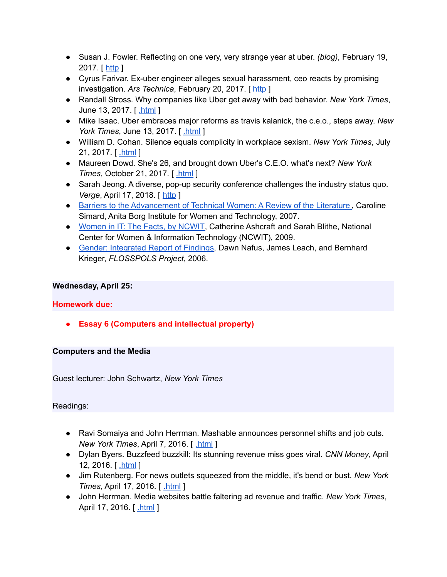- Susan J. Fowler. Reflecting on one very, very strange year at uber. *(blog)*, February 19, 2017. [ [http](https://www.susanjfowler.com/blog/2017/2/19/reflecting-on-one-very-strange-year-at-uber) ]
- Cyrus Farivar. Ex-uber engineer alleges sexual harassment, ceo reacts by promising investigation. *Ars Technica*, February 20, 2017. [ [http](https://arstechnica.com/information-technology/2017/02/ex-uber-engineer-alleges-sexual-harassment-ceo-reacts-by-promising-investigation/) ]
- Randall Stross. Why companies like Uber get away with bad behavior. *New York Times*, June 13, 2017. [ [.html](https://www.nytimes.com/2017/06/13/opinion/travis-kalanick-uber-bad-behavior.html) ]
- Mike Isaac. Uber embraces major reforms as travis kalanick, the c.e.o., steps away. *New York Times*, June 13, 2017. [ [.html](https://www.nytimes.com/2017/06/13/technology/uber-travis-kalanick-holder-report.html) ]
- William D. Cohan. Silence equals complicity in workplace sexism. *New York Times*, July 21, 2017. [**html**]
- Maureen Dowd. She's 26, and brought down Uber's C.E.O. what's next? *New York Times*, October 21, 2017. [ [.html](https://www.nytimes.com/2017/10/21/style/susan-fowler-uber.html) ]
- Sarah Jeong. A diverse, pop-up security conference challenges the industry status quo. *Verge*, April 17, 2018. [ [http](https://www.theverge.com/2018/4/17/17247074/oursa-rsa-diversity-conference-speakers-security-infosec) ]
- Barriers to the [Advancement](http://web.archive.org/web/20131110220106/http://anitaborg.org/files/womens-tech-careers-lit-reviewfinal_2007.pdf) of Technical Women: A Review of the Literature, Caroline Simard, Anita Borg Institute for Women and Technology, 2007.
- [Women](https://www.ncwit.org/resources/women-it-facts) in IT: The Facts, by NCWIT, Catherine Ashcraft and Sarah Blithe, National Center for Women & Information Technology (NCWIT), 2009.
- Gender: [Integrated](http://flosspols.merit.unu.edu/deliverables/FLOSSPOLS-D16-Gender_Integrated_Report_of_Findings.pdf) Report of Findings, Dawn Nafus, James Leach, and Bernhard Krieger, *FLOSSPOLS Project*, 2006.

# **Wednesday, April 25:**

# **Homework due:**

**● Essay 6 (Computers and intellectual property)**

# **Computers and the Media**

Guest lecturer: John Schwartz, *New York Times*

- Ravi Somaiya and John Herrman. Mashable announces personnel shifts and job cuts. *New York Times*, April 7, 2016. [ [.html](http://www.nytimes.com/2016/04/08/business/media/mashable-announces-personnel-shifts-and-job-cuts.html) ]
- Dylan Byers. Buzzfeed buzzkill: Its stunning revenue miss goes viral. *CNN Money*, April 12, 2016. [ [.html](http://money.cnn.com/2016/04/12/media/buzzfeed-missed-projections/index.html) ]
- Jim Rutenberg. For news outlets squeezed from the middle, it's bend or bust. *New York Times*, April 17, 2016. [ [.html](http://www.nytimes.com/2016/04/18/business/media/for-news-outlets-squeezed-from-the-middle-its-bend-or-bust.html) ]
- John Herrman. Media websites battle faltering ad revenue and traffic. *New York Times*, April 17, 2016. [ [.html](http://www.nytimes.com/2016/04/18/business/media-websites-battle-falteringad-revenue-and-traffic.html) ]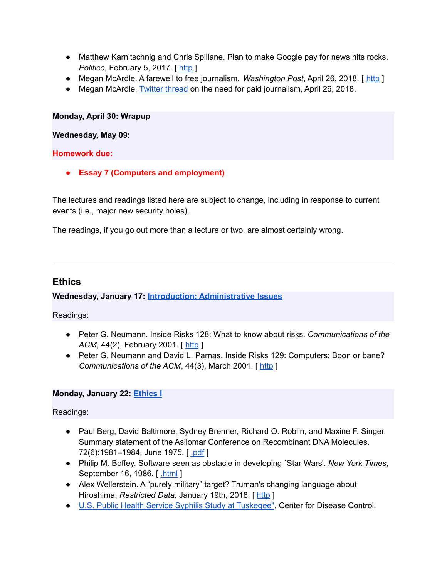- Matthew Karnitschnig and Chris Spillane. Plan to make Google pay for news hits rocks. *Politico*, February 5, 2017. [ [http](https://www.politico.eu/article/plan-to-make-google-pay-for-news-hits-rocks-copyright-reform-european-commission/) ]
- Megan McArdle. A farewell to free journalism. *Washington Post*, April 26, 2018. [ [http](https://www.washingtonpost.com/blogs/post-partisan/wp/2018/04/26/a-farewell-to-free-journalism/) ]
- Megan McArdle, [Twitter](https://twitter.com/asymmetricinfo/status/989609519465553920) thread on the need for paid journalism, April 26, 2018.

#### **Monday, April 30: Wrapup**

#### **Wednesday, May 09:**

#### **Homework due:**

**● Essay 7 (Computers and employment)**

The lectures and readings listed here are subject to change, including in response to current events (i.e., major new security holes).

The readings, if you go out more than a lecture or two, are almost certainly wrong.

# **Ethics**

# **Wednesday, January 17: Introduction; [Administrative](https://www.cs.columbia.edu/~smb/classes/s18/l_intro.pdf) Issues**

Readings:

- Peter G. Neumann. Inside Risks 128: What to know about risks. *Communications of the ACM*, 44(2), February 2001. [[http](http://www.csl.sri.com/users/neumann/insiderisks.html#128) ]
- Peter G. Neumann and David L. Parnas. Inside Risks 129: Computers: Boon or bane? *Communications of the ACM*, 44(3), March 2001. [ [http](http://www.csl.sri.com/users/neumann/insiderisks.html#129) ]

# **Monday, January 22: [Ethics](https://www.cs.columbia.edu/~smb/classes/s18/l_ethics1.pdf) I**

- Paul Berg, David Baltimore, Sydney Brenner, Richard O. Roblin, and Maxine F. Singer. Summary statement of the Asilomar Conference on Recombinant DNA Molecules. 72(6):1981-1984, June 1975. [ [.pdf](https://authors.library.caltech.edu/11971/1/BERpnas75.pdf) ]
- Philip M. Boffey. Software seen as obstacle in developing `Star Wars'. *New York Times*, September 16, 1986. [ [.html](https://www.nytimes.com/1986/09/16/science/software-seen-as-obstacle-in-developing-star-wars.html) ]
- Alex Wellerstein. A "purely military" target? Truman's changing language about Hiroshima. *Restricted Data*, January 19th, 2018. [ [http](http://blog.nuclearsecrecy.com/2018/01/19/purely-military-target/) ]
- U.S. Public Health Service Syphilis Study at [Tuskegee"](https://www.cdc.gov/tuskegee/timeline.htm), Center for Disease Control.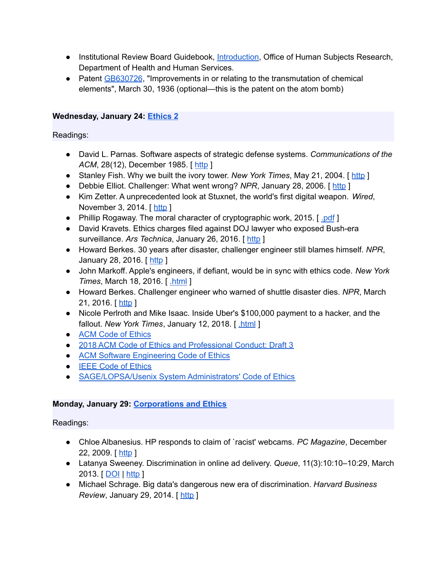- Institutional Review Board Guidebook, [Introduction,](http://wayback.archive-it.org/org-745/20150930181805/http://www.hhs.gov/ohrp/archive/irb/irb_guidebook.htm) Office of Human Subjects Research, Department of Health and Human Services.
- Patent [GB630726](https://worldwide.espacenet.com/publicationDetails/biblio?CC=GB&NR=630726&KC=&FT=E&locale=en_EP), "Improvements in or relating to the transmutation of chemical elements", March 30, 1936 (optional—this is the patent on the atom bomb)

# **Wednesday, January 24: [Ethics](https://www.cs.columbia.edu/~smb/classes/s18/l_ethics2.pdf) 2**

Readings:

- David L. Parnas. Software aspects of strategic defense systems. *Communications of the ACM*, 28(12), December 1985. [ [http](https://dl.acm.org/citation.cfm?id=214961) ]
- Stanley Fish. Why we built the ivory tower. *New York Times*, May 21, 2004. [ [http](http://www.nytimes.com/2004/05/21/opinion/why-we-built-the-ivory-tower.html?_r=0) ]
- Debbie Elliot. Challenger: What went wrong? *NPR*, January 28, 2006. [ [http](https://www.npr.org/templates/story/story.php?storyId=5176563) ]
- Kim Zetter. A unprecedented look at Stuxnet, the world's first digital weapon. *Wired*, November 3, 2014. [ [http](http://www.wired.com/2014/11/countdown-to-zero-day-stuxnet/) ]
- Phillip Rogaway. The moral character of cryptographic work, 2015. [ [.pdf](http://web.cs.ucdavis.edu/~rogaway/papers/moral-fn.pdf) ]
- David Kravets. Ethics charges filed against DOJ lawyer who exposed Bush-era surveillance. *Ars Technica*, January 26, 2016. [ [http](http://arstechnica.com/tech-policy/2016/01/ethics-charges-filed-against-doj-lawyer-who-exposed-bush-era-surveillance/) ]
- Howard Berkes. 30 years after disaster, challenger engineer still blames himself. *NPR*, January 28, 2016. [[http](http://www.npr.org/sections/thetwo-way/2016/01/28/464744781/30-years-after-disaster-challenger-engineer-still-blames-himself) ]
- John Markoff. Apple's engineers, if defiant, would be in sync with ethics code. *New York Times*, March 18, 2016. [ [.html](http://www.nytimes.com/2016/03/19/technology/apples-engineers-if-defiant-would-be-in-sync-with-ethics-code.html) ]
- Howard Berkes. Challenger engineer who warned of shuttle disaster dies. *NPR*, March 21, 2016. [ [http](http://www.npr.org/sections/thetwo-way/2016/03/21/470870426/challenger-engineer-who-warned-of-shuttle-disaster-dies) ]
- Nicole Perlroth and Mike Isaac. Inside Uber's \$100,000 payment to a hacker, and the fallout. *New York Times*, January 12, 2018. [ [.html](https://www.nytimes.com/2018/01/12/technology/uber-hacker-payment-100000.html) ]
- ACM Code of [Ethics](http://www.acm.org/about/code-of-ethics)
- 2018 ACM Code of Ethics and [Professional](https://ethics.acm.org/2018-code-draft-3/) Conduct: Draft 3
- ACM Software [Engineering](https://ethics.acm.org/code-of-ethics/software-engineering-code/) Code of Ethics
- **IEEE Code of [Ethics](http://www.ieee.org/about/corporate/governance/p7-8.html)**
- [SAGE/LOPSA/Usenix](https://www.usenix.org/lisa/system-administrators-code-ethics) System Administrators' Code of Ethics

# **Monday, January 29: [Corporations](https://www.cs.columbia.edu/~smb/classes/s18/l_corp.pdf) and Ethics**

- Chloe Albanesius. HP responds to claim of `racist' webcams. *PC Magazine*, December 22, 2009. [[http](http://www.pcmag.com/article2/0,2817,2357429,00.asp) ]
- Latanya Sweeney. Discrimination in online ad delivery. *Queue*, 11(3):10:10–10:29, March 2013. [ [DOI](http://dx.doi.org/10.1145/2460276.2460278) | [http](http://doi.acm.org/10.1145/2460276.2460278) ]
- Michael Schrage. Big data's dangerous new era of discrimination. *Harvard Business Review*, January 29, 2014. [[http](https://hbr.org/2014/01/big-datas-dangerous-new-era-of-discrimination/) ]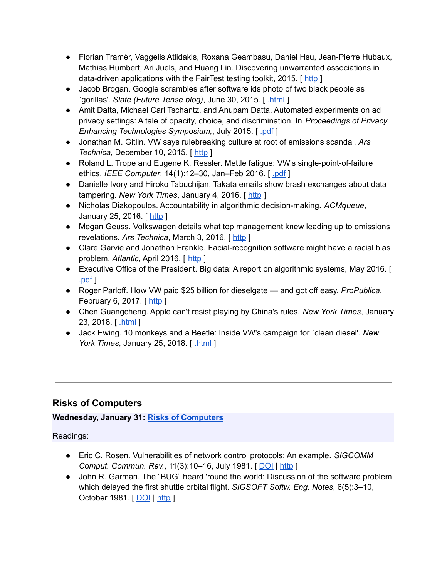- Florian Tramèr, Vaggelis Atlidakis, Roxana Geambasu, Daniel Hsu, Jean-Pierre Hubaux, Mathias Humbert, Ari Juels, and Huang Lin. Discovering unwarranted associations in data-driven applications with the FairTest testing toolkit, 2015. [[http](http://arxiv.org/abs/1510.02377)]
- Jacob Brogan. Google scrambles after software ids photo of two black people as `gorillas'. *Slate (Future Tense blog)*, June 30, 2015. [ [.html](http://www.slate.com/blogs/future_tense/2015/06/30/google_s_image_recognition_software_returns_some_surprisingly_racist_results.html) ]
- Amit Datta, Michael Carl Tschantz, and Anupam Datta. Automated experiments on ad privacy settings: A tale of opacity, choice, and discrimination. In *Proceedings of Privacy Enhancing Technologies Symposium,*, July 2015. [ [.pdf](https://www.andrew.cmu.edu/user/danupam/dtd-pets15.pdf) ]
- Jonathan M. Gitlin. VW says rulebreaking culture at root of emissions scandal. *Ars Technica*, December 10, 2015. [[http](http://arstechnica.com/cars/2015/12/vw-says-rulebreaking-culture-at-root-of-emissions-scandal/) ]
- Roland L. Trope and Eugene K. Ressler. Mettle fatigue: VW's single-point-of-failure ethics. *IEEE Computer*, 14(1):12–30, Jan–Feb 2016. [ [.pdf](http://www.computer.org/cms/Computer.org/ComputingNow/docs/mettle-fatigue-security-and-privacy-january-february-2016.pdf) ]
- Danielle Ivory and Hiroko Tabuchijan. Takata emails show brash exchanges about data tampering. *New York Times*, January 4, 2016. [ [http](http://www.nytimes.com/2016/01/05/business/takata-emails-show-brash-exchanges-about-data-tampering.html?_r=0) ]
- Nicholas Diakopoulos. Accountability in algorithmic decision-making. *ACMqueue*, January 25, 2016. [[http](https://queue.acm.org/detail.cfm?id=2886105) ]
- Megan Geuss. Volkswagen details what top management knew leading up to emissions revelations. *Ars Technica*, March 3, 2016. [ [http](http://arstechnica.com/cars/2016/03/volkswagen-says-ceo-was-in-fact-briefed-about-emissions-issues-in-2014/) ]
- Clare Garvie and Jonathan Frankle. Facial-recognition software might have a racial bias problem. *Atlantic*, April 2016. [ [http](http://www.theatlantic.com/technology/archive/2016/04/the-underlying-bias-of-facial-recognition-systems/476991/) ]
- Executive Office of the President. Big data: A report on algorithmic systems, May 2016. [ [.pdf](https://obamawhitehouse.archives.gov/sites/default/files/microsites/ostp/2016_0504_data_discrimination.pdf) ]
- Roger Parloff. How VW paid \$25 billion for dieselgate and got off easy. *ProPublica*, February 6, 2017. [ [http](https://www.propublica.org/article/how-vw-paid-25-billion-for-dieselgate-and-got-off-easy) ]
- Chen Guangcheng. Apple can't resist playing by China's rules. *New York Times*, January 23, 2018. [ [.html](https://www.nytimes.com/2018/01/23/opinion/apple-china-data.html) ]
- Jack Ewing. 10 monkeys and a Beetle: Inside VW's campaign for `clean diesel'. *New York Times, January 25, 2018.* [*[.html](https://www.nytimes.com/2018/01/25/world/europe/volkswagen-diesel-emissions-monkeys.html)*]

# **Risks of Computers**

# **Wednesday, January 31: Risks of [Computers](https://www.cs.columbia.edu/~smb/classes/s18/l_risks1.pdf)**

- Eric C. Rosen. Vulnerabilities of network control protocols: An example. *SIGCOMM Comput. Commun. Rev.*, 11(3):10–16, July 1981. [ [DOI](http://dx.doi.org/10.1145/1015591.1015592) | [http](http://doi.acm.org/10.1145/1015591.1015592) ]
- John R. Garman. The "BUG" heard 'round the world: Discussion of the software problem which delayed the first shuttle orbital flight. *SIGSOFT Softw. Eng. Notes*, 6(5):3–10, October 1981. [ [DOI](http://dx.doi.org/10.1145/1005928.1005929) | [http](http://doi.acm.org/10.1145/1005928.1005929) ]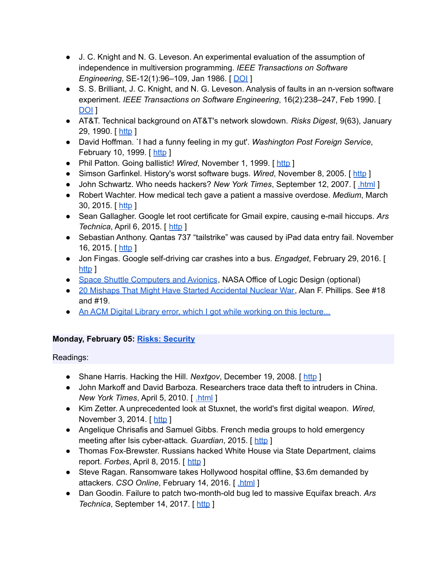- J. C. Knight and N. G. Leveson. An experimental evaluation of the assumption of independence in multiversion programming. *IEEE Transactions on Software Engineering*, *SE-12(1):96-109*, Jan 1986. [ [DOI](http://dx.doi.org/10.1109/TSE.1986.6312924) ]
- S. S. Brilliant, J. C. Knight, and N. G. Leveson. Analysis of faults in an n-version software experiment. *IEEE Transactions on Software Engineering*, 16(2):238–247, Feb 1990. [ [DOI](http://dx.doi.org/10.1109/32.44387) ]
- AT&T. Technical background on AT&T's network slowdown. *Risks Digest*, 9(63), January 29, 1990. [[http](http://catless.ncl.ac.uk/Risks/9.63.html#subj3) ]
- David Hoffman. `I had a funny feeling in my gut'. *Washington Post Foreign Service*, February 10, 1999. [ [http](https://www.washingtonpost.com/wp-srv/inatl/longterm/coldwar/shatter021099b.htm) ]
- Phil Patton. Going ballistic! Wired, November 1, 1999. [[http](https://www.wired.com/1999/11/cheyenne/) ]
- Simson Garfinkel. History's worst software bugs. Wired, November 8, 2005. [ [http](https://www.wired.com/2005/11/historys-worst-software-bugs/?currentPage=all) ]
- John Schwartz. Who needs hackers? *New York Times*, September 12, 2007. [ [.html](http://www.nytimes.com/2007/09/12/technology/techspecial/12threat.html) ]
- Robert Wachter. How medical tech gave a patient a massive overdose. *Medium*, March 30, 2015. [ [http](https://medium.com/backchannel/how-technology-led-a-hospital-to-give-a-patient-38-times-his-dosage-ded7b3688558) ]
- Sean Gallagher. Google let root certificate for Gmail expire, causing e-mail hiccups. *Ars Technica*, April 6, 2015. [ [http](https://arstechnica.com/information-technology/2015/04/google-let-root-certificate-for-gmail-expire-causing-e-mail-hiccups/) ]
- Sebastian Anthony. Qantas 737 "tailstrike" was caused by iPad data entry fail. November 16, 2015. [ [http](https://arstechnica.com/gadgets/2015/11/qantas-737-tailstrike-was-caused-by-ipad-data-entry-fail/) ]
- Jon Fingas. Google self-driving car crashes into a bus. *Engadget*, February 29, 2016. [ [http](http://www.engadget.com/2016/02/29/google-self-driving-car-accident/) 1
- Space Shuttle [Computers](http://klabs.org/DEI/Processor/shuttle/) and Avionics, NASA Office of Logic Design (optional)
- 20 Mishaps That Might Have Started [Accidental](http://www.nuclearfiles.org/menu/key-issues/nuclear-weapons/issues/accidents/20-mishaps-maybe-caused-nuclear-war.htm) Nuclear War, Alan F. Phillips. See #18 and #19.
- An ACM Digital Library error, which I got while working on this [lecture...](https://www.cs.columbia.edu/~smb/classes/s18/Files/acm-err.pdf)

# **Monday, February 05: Risks: [Security](https://www.cs.columbia.edu/~smb/classes/s18/l_security.pdf)**

- Shane Harris. Hacking the Hill. *Nextgov*, December 19, 2008. [ [http](http://www.nextgov.com/cio-briefing/2008/12/hacking-the-hill/42717/) ]
- John Markoff and David Barboza. Researchers trace data theft to intruders in China. *New York Times*, April 5, 2010. [ [.html](https://www.nytimes.com/2010/04/06/science/06cyber.html) ]
- Kim Zetter. A unprecedented look at Stuxnet, the world's first digital weapon. *Wired*, November 3, 2014. [[http](http://www.wired.com/2014/11/countdown-to-zero-day-stuxnet/) ]
- Angelique Chrisafis and Samuel Gibbs. French media groups to hold emergency meeting after Isis cyber-attack. *Guardian*, 2015. [[http](https://www.theguardian.com/world/2015/apr/09/french-tv-network-tv5monde-hijacked-by-pro-isis-hackers)]
- Thomas Fox-Brewster. Russians hacked White House via State Department, claims report. *Forbes*, April 8, 2015. [[http](https://www.forbes.com/sites/thomasbrewster/2015/04/08/russians-hacked-white-house-cnn/) ]
- Steve Ragan. Ransomware takes Hollywood hospital offline, \$3.6m demanded by attackers. *CSO Online*, February 14, 2016. [*html*]
- Dan Goodin. Failure to patch two-month-old bug led to massive Equifax breach. *Ars Technica*, September 14, 2017. [ [http](https://arstechnica.com/information-technology/2017/09/massive-equifax-breach-caused-by-failure-to-patch-two-month-old-bug/) ]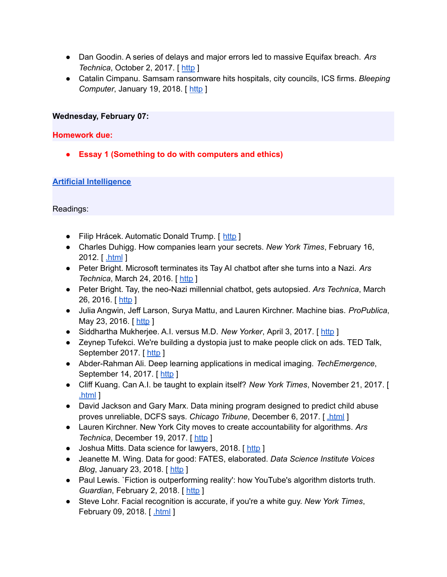- Dan Goodin. A series of delays and major errors led to massive Equifax breach. *Ars Technica*, October 2, 2017. [ [http](https://arstechnica.com/information-technology/2017/10/a-series-of-delays-and-major-errors-led-to-massive-equifax-breach/) ]
- Catalin Cimpanu. Samsam ransomware hits hospitals, city councils, ICS firms. *Bleeping Computer*, January 19, 2018. [ [http](https://www.bleepingcomputer.com/news/security/samsam-ransomware-hits-hospitals-city-councils-ics-firms/) ]

#### **Wednesday, February 07:**

#### **Homework due:**

**● Essay 1 (Something to do with computers and ethics)**

#### **Artificial [Intelligence](https://www.cs.columbia.edu/~smb/classes/s18/ai.pptx)**

- Filip Hrácek. Automatic Donald Trump. [ [http](https://filiph.github.io/markov/) ]
- Charles Duhigg. How companies learn your secrets. *New York Times*, February 16, 2012. [ [.html](http://www.nytimes.com/2012/02/19/magazine/shopping-habits.html) ]
- Peter Bright. Microsoft terminates its Tay AI chatbot after she turns into a Nazi. *Ars Technica*, March 24, 2016. [[http](https://arstechnica.com/information-technology/2016/03/microsoft-terminates-its-tay-ai-chatbot-after-she-turns-into-a-nazi/) ]
- Peter Bright. Tay, the neo-Nazi millennial chatbot, gets autopsied. *Ars Technica*, March 26, 2016. [ [http](https://arstechnica.com/information-technology/2016/03/tay-the-neo-nazi-millennial-chatbot-gets-autopsied/) ]
- Julia Angwin, Jeff Larson, Surya Mattu, and Lauren Kirchner. Machine bias. *ProPublica*, May 23, 2016. [ [http](https://www.propublica.org/article/machine-bias-risk-assessments-in-criminal-sentencing) ]
- Siddhartha Mukherjee. A.I. versus M.D. *New Yorker*, April 3, 2017. [ [http](https://www.newyorker.com/magazine/2017/04/03/ai-versus-md) ]
- Zeynep Tufekci. We're building a dystopia just to make people click on ads. TED Talk, September 2017. [ [http](https://www.ted.com/talks/zeynep_tufekci_we_re_building_a_dystopia_just_to_make_people_click_on_ads) ]
- Abder-Rahman Ali. Deep learning applications in medical imaging. *TechEmergence*, September 14, 2017. [ [http](https://www.techemergence.com/deep-learning-applications-in-medical-imaging/) ]
- Cliff Kuang. Can A.I. be taught to explain itself? *New York Times*, November 21, 2017. [ [.html](https://www.nytimes.com/2017/11/21/magazine/can-ai-be-taught-to-explain-itself.html) ]
- David Jackson and Gary Marx. Data mining program designed to predict child abuse proves unreliable, DCFS says. *Chicago Tribune*, December 6, 2017. [ [.html](http://www.chicagotribune.com/news/watchdog/ct-dcfs-eckerd-met-20171206-story.html) ]
- Lauren Kirchner. New York City moves to create accountability for algorithms. *Ars Technica*, December 19, 2017. [ [http](https://arstechnica.com/tech-policy/2017/12/new-york-city-moves-to-create-accountability-for-algorithms/) ]
- Joshua Mitts. Data science for lawyers, 2018. [[http](http://www.joshmitts.com/data-science-for-lawyers/)]
- Jeanette M. Wing. Data for good: FATES, elaborated. *Data Science Institute Voices Blog*, January 23, 2018. [[http](http://datascience.columbia.edu/FATES-Elaborated) ]
- Paul Lewis. `Fiction is outperforming reality': how YouTube's algorithm distorts truth. *Guardian*, February 2, 2018. [[http](https://www.theguardian.com/technology/2018/feb/02/how-youtubes-algorithm-distorts-truth) ]
- Steve Lohr. Facial recognition is accurate, if you're a white guy. *New York Times*, February 09, 2018. [[.html](https://www.nytimes.com/2018/02/09/technology/facial-recognition-race-artificial-intelligence.html) ]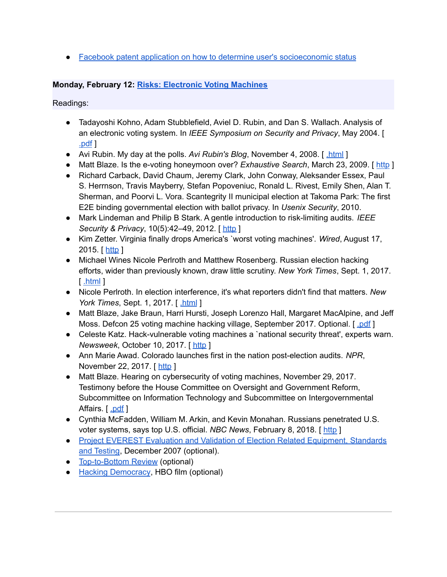• Facebook patent application on how to determine user's [socioeconomic](https://www.cs.columbia.edu/~smb/classes/s18/Files/patent-socioeconomic.pdf) status

# **Monday, February 12: Risks: [Electronic](https://www.cs.columbia.edu/~smb/classes/s18/l_voting.pdf) Voting Machines**

- Tadayoshi Kohno, Adam Stubblefield, Aviel D. Rubin, and Dan S. Wallach. Analysis of an electronic voting system. In *IEEE Symposium on Security and Privacy*, May 2004. [ [.pdf](http://avirubin.com/vote.pdf) ]
- Avi Rubin. My day at the polls. *Avi Rubin's Blog*, November 4, 2008. [ [.html](https://avi-rubin.blogspot.com/2008/11/my-day-at-polls.html) ]
- Matt Blaze. Is the e-voting honeymoon over? *Exhaustive Search*, March 23, 2009. [ [http](http://www.crypto.com/blog/vote_fraud_in_kentucky/) ]
- Richard Carback, David Chaum, Jeremy Clark, John Conway, Aleksander Essex, Paul S. Herrnson, Travis Mayberry, Stefan Popoveniuc, Ronald L. Rivest, Emily Shen, Alan T. Sherman, and Poorvi L. Vora. Scantegrity II municipal election at Takoma Park: The first E2E binding governmental election with ballot privacy. In *Usenix Security*, 2010.
- Mark Lindeman and Philip B Stark. A gentle introduction to risk-limiting audits. *IEEE Security & Privacy*, 10(5):42–49, 2012. [ [http](http://citeseerx.ist.psu.edu/viewdoc/download?doi=10.1.1.229.883&rep=rep1&type=pdf) ]
- Kim Zetter. Virginia finally drops America's `worst voting machines'. *Wired*, August 17, 2015. [ [http](https://www.wired.com/2015/08/virginia-finally-drops-americas-worst-voting-machines/) ]
- Michael Wines Nicole Perlroth and Matthew Rosenberg. Russian election hacking efforts, wider than previously known, draw little scrutiny. *New York Times*, Sept. 1, 2017. [ [.html](https://www.nytimes.com/2017/09/01/us/politics/russia-election-hacking.html) ]
- Nicole Perlroth. In election interference, it's what reporters didn't find that matters. *New York Times*, Sept. 1, 2017. [ [.html](https://www.nytimes.com/2017/09/01/insider/in-election-interference-its-what-reporters-didnt-find-that-matters.html) ]
- Matt Blaze, Jake Braun, Harri Hursti, Joseph Lorenzo Hall, Margaret MacAlpine, and Jeff Moss. Defcon 25 voting machine hacking village, September 2017. Optional. [ [.pdf](https://www.defcon.org/images/defcon-25/DEF%20CON%2025%20voting%20village%20report.pdf) ]
- Celeste Katz. Hack-vulnerable voting machines a `national security threat', experts warn. *Newsweek*, October 10, 2017. [ [http](http://www.newsweek.com/hacking-defcon-voting-machines-technology-software-eac-russia-meddling-681759) ]
- Ann Marie Awad. Colorado launches first in the nation post-election audits. *NPR*, November 22, 2017. [ [http](https://www.npr.org/2017/11/22/566039611/colorado-launches-first-in-the-nation-post-election-audits) ]
- Matt Blaze. Hearing on cybersecurity of voting machines, November 29, 2017. Testimony before the House Committee on Oversight and Government Reform, Subcommittee on Information Technology and Subcommittee on Intergovernmental Affairs. [ [.pdf](http://www.mattblaze.org/papers/blaze-govtreform-20171129.pdf) ]
- Cynthia McFadden, William M. Arkin, and Kevin Monahan. Russians penetrated U.S. voter systems, says top U.S. official. *NBC News*, February 8, 2018. [ [http](https://www.nbcnews.com/politics/elections/russians-penetrated-u-s-voter-systems-says-top-u-s-n845721) ]
- Project EVEREST Evaluation and Validation of Election Related [Equipment,](http://citizentaskforce.org/wp-content/uploads/2014/12/EVERESTReport.pdf) Standards and [Testing](http://citizentaskforce.org/wp-content/uploads/2014/12/EVERESTReport.pdf), December 2007 (optional).
- [Top-to-Bottom](http://www.sos.ca.gov/elections/voting-systems/oversight/top-bottom-review/) Review (optional)
- Hacking [Democracy](http://en.wikipedia.org/wiki/Hacking_Democracy), HBO film (optional)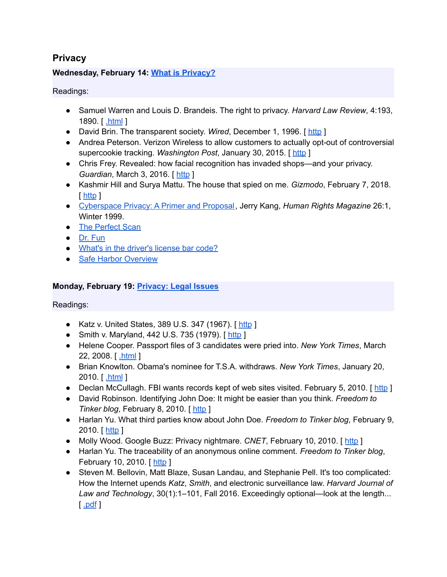# **Privacy**

# **Wednesday, February 14: What is [Privacy?](https://www.cs.columbia.edu/~smb/classes/s18/l_privacy.pdf)**

#### Readings:

- Samuel Warren and Louis D. Brandeis. The right to privacy. *Harvard Law Review*, 4:193, 1890. [ [.html](http://groups.csail.mit.edu/mac/classes/6.805/articles/privacy/Privacy_brand_warr2.html) ]
- David Brin. The transparent society. *Wired*, December 1, 1996. [ [http](http://www.wired.com/1996/12/fftransparent/) ]
- Andrea Peterson. Verizon Wireless to allow customers to actually opt-out of controversial supercookie tracking. *Washington Post*, January 30, 2015. [ [http](https://www.washingtonpost.com/news/the-switch/wp/2015/01/30/verizon-wireless-to-allow-customers-to-actually-opt-out-of-controversial-supercookie-tracking/) ]
- Chris Frey. Revealed: how facial recognition has invaded shops—and your privacy. *Guardian*, March 3, 2016. [[http](http://www.theguardian.com/cities/2016/mar/03/revealed-facial-recognition-software-infiltrating-cities-saks-toronto) ]
- Kashmir Hill and Surya Mattu. The house that spied on me. *Gizmodo*, February 7, 2018. [ [http](https://gizmodo.com/the-house-that-spied-on-me-1822429852) ]
- [Cyberspace](http://heinonline.org/HOL/LandingPage?handle=hein.journals/huri26&div=6&id=&page=) Privacy: A Primer and Proposal, Jerry Kang, *Human Rights Magazine* 26:1, Winter 1999.
- The [Perfect](http://www.id-reader.com/ftp/press/articles/card_scanning_for_casino.pdf) Scan
- Dr. [Fun](http://www.ibiblio.org/Dave/Dr-Fun/df200601/df20060116.jpg)
- What's in the [driver's](http://web.archive.org/web/20100227093405/http://schram.net/articles/barcode.html) license bar code?
- Safe Harbor [Overview](https://www.privacyshield.gov/Program-Overview)

#### **Monday, February 19: [Privacy:](https://www.cs.columbia.edu/~smb/classes/s18/l_privacy-legal.pdf) Legal Issues**

- Katz v. United States, 389 U.S. 347 (1967). [[http](https://www.law.cornell.edu/supremecourt/text/389/347) ]
- Smith v. Maryland, 442 U.S. 735 (1979). [[http](https://scholar.google.com/scholar_case?case=3033726127475530815&hl=en&as_sdt=6&as_vis=1&oi=scholarr) ]
- Helene Cooper. Passport files of 3 candidates were pried into. *New York Times*, March 22, 2008. [ [.html](https://www.nytimes.com/2008/03/22/us/politics/22passport.html) ]
- Brian Knowlton. Obama's nominee for T.S.A. withdraws. *New York Times*, January 20, 2010. [ [.html](https://www.nytimes.com/2010/01/21/us/politics/21southers.html) ]
- Declan McCullagh. FBI wants records kept of web sites visited. February 5, 2010. [ [http](https://www.cnet.com/news/fbi-wants-records-kept-of-web-sites-visited/) ]
- David Robinson. Identifying John Doe: It might be easier than you think. *Freedom to Tinker blog*, February 8, 2010. [[http](https://freedom-to-tinker.com/2010/02/08/identifying-john-doe-it-might-be-easier-you-think/) ]
- Harlan Yu. What third parties know about John Doe. *Freedom to Tinker blog*, February 9, 2010. [ [http](https://freedom-to-tinker.com/2010/02/09/what-third-parties-know-about-john-doe/) ]
- Molly Wood. Google Buzz: Privacy nightmare. *CNET*, February 10, 2010. [[http](https://www.cnet.com/news/google-buzz-privacy-nightmare/) ]
- Harlan Yu. The traceability of an anonymous online comment. *Freedom to Tinker blog*, February 10, 2010. [ [http](https://freedom-to-tinker.com/2010/02/10/traceability-anonymous-online-comment/) ]
- Steven M. Bellovin, Matt Blaze, Susan Landau, and Stephanie Pell. It's too complicated: How the Internet upends *Katz*, *Smith*, and electronic surveillance law. *Harvard Journal of Law and Technology*, 30(1):1–101, Fall 2016. Exceedingly optional—look at the length...  $\cdot$  pdf  $\cdot$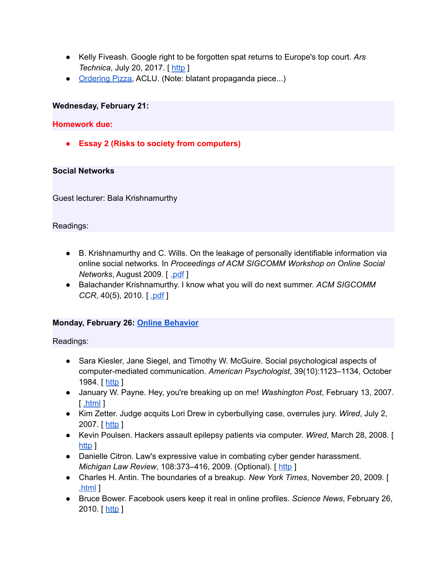- Kelly Fiveash. Google right to be forgotten spat returns to Europe's top court. *Ars Technica*, July 20, 2017. [[http](https://arstechnica.com/tech-policy/2017/07/google-right-to-be-forgotten-spat-returns-to-cjeu/) ]
- [Ordering](http://www.aclu.org/pizza/) Pizza, ACLU. (Note: blatant propaganda piece...)

#### **Wednesday, February 21:**

#### **Homework due:**

**● Essay 2 (Risks to society from computers)**

#### **Social Networks**

Guest lecturer: Bala Krishnamurthy

#### Readings:

- B. Krishnamurthy and C. Wills. On the leakage of personally identifiable information via online social networks. In *Proceedings of ACM SIGCOMM Workshop on Online Social Networks*, August 2009. [ [.pdf](http://web2.research.att.com/export/sites/att_labs/people/Krishnamurthy_Balachander/papers/wosn09.pdf) ]
- Balachander Krishnamurthy. I know what you will do next summer. *ACM SIGCOMM CCR*, 40(5), 2010. [ [.pdf](http://web2.research.att.com/export/sites/att_labs/people/Krishnamurthy_Balachander/papers/ccr10-priv.pdf) ]

# **Monday, February 26: Online [Behavior](https://www.cs.columbia.edu/~smb/classes/s18/l_behavior.pdf)**

- Sara Kiesler, Jane Siegel, and Timothy W. McGuire. Social psychological aspects of computer-mediated communication. *American Psychologist*, 39(10):1123–1134, October 1984. [ [http](http://dx.doi.org/10.1037/0003-066X.39.10.1123) ]
- January W. Payne. Hey, you're breaking up on me! *Washington Post*, February 13, 2007. [ [.html](http://www.washingtonpost.com/wp-dyn/content/article/2007/02/12/AR2007021201139.html) ]
- Kim Zetter. Judge acquits Lori Drew in cyberbullying case, overrules jury. *Wired*, July 2, 2007. [ [http](http://www.wired.com/2009/07/drew_court/) ]
- Kevin Poulsen. Hackers assault epilepsy patients via computer. *Wired*, March 28, 2008. [ [http](http://archive.wired.com/politics/security/news/2008/03/epilepsy) 1
- Danielle Citron. Law's expressive value in combating cyber gender harassment. *Michigan Law Review*, 108:373–416, 2009. (Optional). [ [http](http://digitalcommons.law.umaryland.edu/cgi/viewcontent.cgi?article=1687&context=fac_pubs) ]
- Charles H. Antin. The boundaries of a breakup. *New York Times*, November 20, 2009. [ [.html](http://www.nytimes.com/2009/11/22/fashion/22love.html) ]
- Bruce Bower. Facebook users keep it real in online profiles. *Science News*, February 26, 2010. [ $http$ ]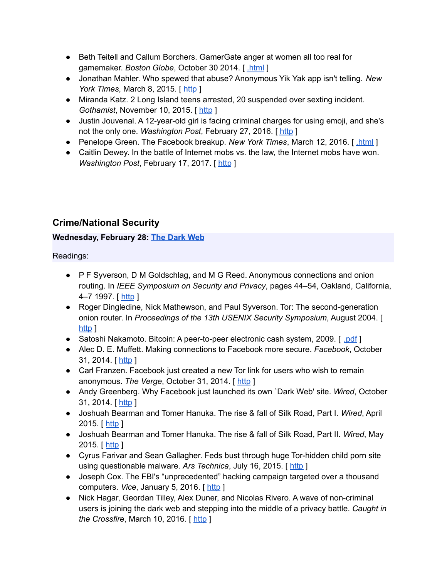- Beth Teitell and Callum Borchers. GamerGate anger at women all too real for gamemaker. *Boston Globe*, October 30 2014. [ [.html](https://www.bostonglobe.com/lifestyle/style/2014/10/29/threatening-video-gaming-industry-movement-grows-arlington-game-developer-forced-flee-her-home/BRHwDSGjMsSnHquH9jYQIJ/story.html) ]
- Jonathan Mahler. Who spewed that abuse? Anonymous Yik Yak app isn't telling. *New York Times, March 8, 2015.* [[http](http://www.nytimes.com/2015/03/09/technology/popular-yik-yak-app-confers-anonymity-and-delivers-abuse.html?_r=0) ]
- Miranda Katz. 2 Long Island teens arrested, 20 suspended over sexting incident. *Gothamist*, November 10, 2015. [ [http](http://gothamist.com/2015/11/10/li_sexting_scandal.php) ]
- Justin Jouvenal. A 12-year-old girl is facing criminal charges for using emoji, and she's not the only one. *Washington Post*, February 27, 2016. [ [http](https://www.washingtonpost.com/news/local/wp/2016/02/27/a-12-year-old-girl-is-facing-criminal-charges-for-using-emoji-shes-not-alone/) ]
- Penelope Green. The Facebook breakup. *New York Times*, March 12, 2016. [[.html](http://www.nytimes.com/2016/03/13/fashion/facebook-breakup-compassion-team.html)]
- Caitlin Dewey. In the battle of Internet mobs vs. the law, the Internet mobs have won. *Washington Post, February 17, 2017.* [[http](https://www.washingtonpost.com/news/the-intersect/wp/2016/02/17/in-the-battle-of-internet-mobs-vs-the-law-the-internet-mobs-have-won/?hpid=hp_hp-top-table-main_no-name%3Ahomepage%2Fstory) ]

# **Crime/National Security**

# **Wednesday, February 28: The [Dark](https://www.cs.columbia.edu/~smb/classes/s18/l_darknet.pdf) Web**

- P F Syverson, D M Goldschlag, and M G Reed. Anonymous connections and onion routing. In *IEEE Symposium on Security and Privacy*, pages 44–54, Oakland, California, 4–7 1997. [ [http](http://www.dtic.mil/get-tr-doc/pdf?AD=ADA465126) ]
- Roger Dingledine, Nick Mathewson, and Paul Syverson. Tor: The second-generation onion router. In *Proceedings of the 13th USENIX Security Symposium*, August 2004. [ [http](http://static.usenix.org/legacy/events/sec04/tech/full_papers/dingledine/dingledine_html/) 1
- Satoshi Nakamoto. Bitcoin: A peer-to-peer electronic cash system, 2009. [ [.pdf](https://bitcoin.org/bitcoin.pdf) ]
- Alec D. E. Muffett. Making connections to Facebook more secure. *Facebook*, October 31, 2014. [ [http](https://www.facebook.com/notes/protect-the-graph/making-connections-to-facebook-more-secure/1526085754298237/?_fb_noscript=1) ]
- Carl Franzen. Facebook just created a new Tor link for users who wish to remain anonymous. *The Verge*, October 31, 2014. [ [http](http://www.theverge.com/2014/10/31/7137323/facebook-adds-direct-support-for-tor-anonymous-users) ]
- Andy Greenberg. Why Facebook just launched its own `Dark Web' site. *Wired*, October 31, 2014. [ [http](http://www.wired.com/2014/10/facebook-tor-dark-site/) ]
- Joshuah Bearman and Tomer Hanuka. The rise & fall of Silk Road, Part I. *Wired*, April 2015. [ [http](http://www.wired.com/2015/04/silk-road-1/) ]
- Joshuah Bearman and Tomer Hanuka. The rise & fall of Silk Road, Part II. *Wired*, May 2015. [ [http](http://www.wired.com/2015/05/silk-road-2/) ]
- Cyrus Farivar and Sean Gallagher. Feds bust through huge Tor-hidden child porn site using questionable malware. *Ars Technica*, July 16, 2015. [ [http](http://arstechnica.com/tech-policy/2015/07/feds-bust-through-huge-tor-hidden-child-porn-site-using-questionable-malware/) ]
- Joseph Cox. The FBI's "unprecedented" hacking campaign targeted over a thousand computers. *Vice*, January 5, 2016. [ [http](https://motherboard.vice.com/read/the-fbis-unprecedented-hacking-campaign-targeted-over-a-thousand-computers) ]
- Nick Hagar, Geordan Tilley, Alex Duner, and Nicolas Rivero. A wave of non-criminal users is joining the dark web and stepping into the middle of a privacy battle. *Caught in the Crossfire*, March 10, 2016. [ [http](http://caught-in-the-crossfire.com/) ]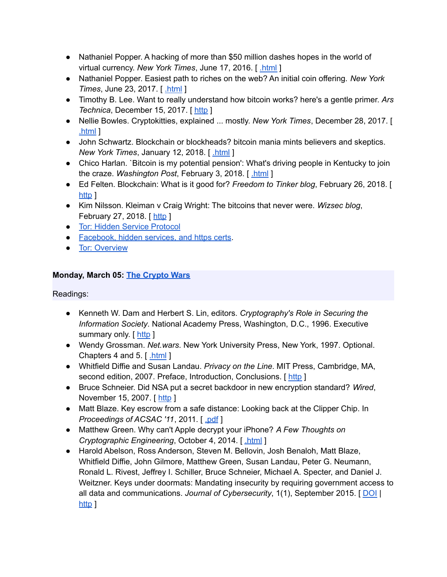- Nathaniel Popper. A hacking of more than \$50 million dashes hopes in the world of virtual currency. *New York Times*, June 17, 2016. [ [.html](https://www.nytimes.com/2016/06/18/business/dealbook/hacker-may-have-removed-more-than-50-million-from-experimental-cybercurrency-project.html) ]
- Nathaniel Popper. Easiest path to riches on the web? An initial coin offering. *New York Times*, June 23, 2017. [ [.html](https://www.nytimes.com/2017/06/23/business/dealbook/coin-digital-currency.html) ]
- Timothy B. Lee. Want to really understand how bitcoin works? here's a gentle primer. *Ars Technica*, December 15, 2017. [ [http](https://arstechnica.com/tech-policy/2017/12/how-bitcoin-works/) ]
- Nellie Bowles. Cryptokitties, explained ... mostly. *New York Times*, December 28, 2017. [ [.html](https://www.nytimes.com/2017/12/28/style/cryptokitties-want-a-blockchain-snuggle.html) ]
- John Schwartz. Blockchain or blockheads? bitcoin mania mints believers and skeptics. *New York Times*, January 12, 2018. [ [.html](https://www.nytimes.com/2018/01/12/business/blockchain-blockheads-bitcoin-mania.html) ]
- Chico Harlan. `Bitcoin is my potential pension': What's driving people in Kentucky to join the craze. *Washington Post*, February 3, 2018. [ [.html](https://www.washingtonpost.com/business/economy/bitcoin-is-my-potential-pension-what-is-driving-people-in-kentucky-to-join-the-craze/2018/02/03/aaaea3be-05dc-11e8-b48c-b07fea957bd5_story.html) ]
- Ed Felten. Blockchain: What is it good for? *Freedom to Tinker blog*, February 26, 2018. [ [http](https://freedom-to-tinker.com/2018/02/26/blockchain-what-is-it-good-for/) 1
- Kim Nilsson. Kleiman v Craig Wright: The bitcoins that never were. *Wizsec blog*, February 27, 2018. [[http](http://blog.wizsec.jp.convey.pro/l/wEXY6Bm) ]
- Tor: Hidden Service [Protocol](https://www.torproject.org/docs/hidden-services.html.en)
- [Facebook,](https://blog.torproject.org/blog/facebook-hidden-services-and-https-certs) hidden services, and https certs.
- **•** Tor: [Overview](http://www.torproject.org/overview.html)

# **Monday, March 05: The [Crypto](https://www.cs.columbia.edu/~smb/classes/s18/l_cryptowars.pdf) Wars**

- Kenneth W. Dam and Herbert S. Lin, editors. *Cryptography's Role in Securing the Information Society*. National Academy Press, Washington, D.C., 1996. Executive summary only. [ [http](http://www.nap.edu/catalog/5131/cryptographys-role-in-securing-the-information-society) ]
- Wendy Grossman. *Net.wars*. New York University Press, New York, 1997. Optional. Chapters 4 and 5. [ [.html](https://nyupress.org/netwars/contents/contents.html) ]
- Whitfield Diffie and Susan Landau. *Privacy on the Line*. MIT Press, Cambridge, MA, second edition, 2007. Preface, Introduction, Conclusions. [[http](https://www.dropbox.com/s/rnkqcak89lkuor8/5572.pdf?dl=0)]
- Bruce Schneier. Did NSA put a secret backdoor in new encryption standard? *Wired*, November 15, 2007. [ [http](http://www.wired.com/2007/11/securitymatters-1115/) ]
- Matt Blaze. Key escrow from a safe distance: Looking back at the Clipper Chip. In *Proceedings of ACSAC '11*, 2011. [ [.pdf](https://www.acsac.org/2011/program/keynotes/blaze.pdf) ]
- Matthew Green. Why can't Apple decrypt your iPhone? *A Few Thoughts on Cryptographic Engineering*, October 4, 2014. [ [.html](http://blog.cryptographyengineering.com/2014/10/why-cant-apple-decrypt-your-iphone.html) ]
- Harold Abelson, Ross Anderson, Steven M. Bellovin, Josh Benaloh, Matt Blaze, Whitfield Diffie, John Gilmore, Matthew Green, Susan Landau, Peter G. Neumann, Ronald L. Rivest, Jeffrey I. Schiller, Bruce Schneier, Michael A. Specter, and Daniel J. Weitzner. Keys under doormats: Mandating insecurity by requiring government access to all data and communications. *Journal of Cybersecurity*, 1(1), September 2015. [ [DOI](http://dx.doi.org/10.1093/cybsec/tyv009) | [http](http://cybersecurity.oxfordjournals.org/content/early/2015/11/17/cybsec.tyv009) 1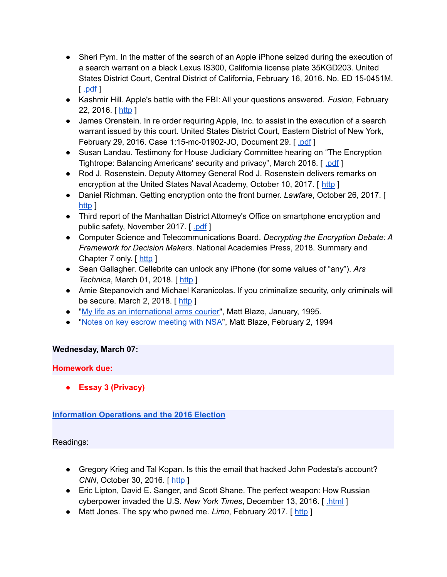- Sheri Pym. In the matter of the search of an Apple iPhone seized during the execution of a search warrant on a black Lexus IS300, California license plate 35KGD203. United States District Court, Central District of California, February 16, 2016. No. ED 15-0451M.  $\lceil$  [.pdf](https://assets.documentcloud.org/documents/2714001/SB-Shooter-Order-Compelling-Apple-Asst-iPhone.pdf)  $\rceil$
- Kashmir Hill. Apple's battle with the FBI: All your questions answered. *Fusion*, February 22, 2016. [ [http](https://fusion.net/story/271636/apples-battle-with-the-fbi/) ]
- James Orenstein. In re order requiring Apple, Inc. to assist in the execution of a search warrant issued by this court. United States District Court, Eastern District of New York, February 29, 2016. Case 1:15-mc-01902-JO, Document 29. [ [.pdf](https://epic.org/amicus/crypto/apple/Orenstein-Order-Apple-iPhone-02292016.pdf) ]
- Susan Landau. Testimony for House Judiciary Committee hearing on "The Encryption Tightrope: Balancing Americans' security and privacy", March 2016. [ [.pdf](https://judiciary.house.gov/wp-content/uploads/2016/02/Landau-Written-Testimony.pdf) ]
- Rod J. Rosenstein. Deputy Attorney General Rod J. Rosenstein delivers remarks on encryption at the United States Naval Academy, October 10, 2017. [ [http](https://www.justice.gov/opa/speech/deputy-attorney-general-rod-j-rosenstein-delivers-remarks-encryption-united-states-naval) ]
- Daniel Richman. Getting encryption onto the front burner. *Lawfare*, October 26, 2017. [ [http](https://www.lawfareblog.com/getting-encryption-front-burner) 1
- Third report of the Manhattan District Attorney's Office on smartphone encryption and public safety, November 2017. [ [.pdf](https://www.manhattanda.org/wp-content/themes/dany/files/2017%20Report%20of%20the%20Manhattan%20District%20Attorney%27s%20Office%20on%20Smartphone%20Encryption.pdf) ]
- Computer Science and Telecommunications Board. *Decrypting the Encryption Debate: A Framework for Decision Makers*. National Academies Press, 2018. Summary and Chapter 7 only. [[http](https://www.nap.edu/catalog/25010/decrypting-the-encryption-debate-a-framework-for-decision-makers) ]
- Sean Gallagher. Cellebrite can unlock any iPhone (for some values of "any"). *Ars Technica*, March 01, 2018. [[http](https://arstechnica.com/information-technology/2018/02/cellebrite-can-unlock-any-iphone-for-some-values-of-any/) ]
- Amie Stepanovich and Michael Karanicolas. If you criminalize security, only criminals will be secure. March 2, 2018. [[http](https://www.justsecurity.org/53316/criminalize-security-criminals-secure/) ]
- "My life as an [international](http://www.crypto.com/papers/export.txt) arms courier", Matt Blaze, January, 1995.
- "Notes on key escrow [meeting](https://w2.eff.org/Privacy/Key_escrow/Clipper/nsa_escrow_plans.article) with NSA", Matt Blaze, February 2, 1994

# **Wednesday, March 07:**

# **Homework due:**

**● Essay 3 (Privacy)**

# **[Information](https://www.cs.columbia.edu/~smb/classes/s18/info-ops.pdf) Operations and the 2016 Election**

- Gregory Krieg and Tal Kopan. Is this the email that hacked John Podesta's account? *CNN*, October 30, 2016. [ [http](http://www.cnn.com/2016/10/28/politics/phishing-email-hack-john-podesta-hillary-clinton-wikileaks/) ]
- Eric Lipton, David E. Sanger, and Scott Shane. The perfect weapon: How Russian cyberpower invaded the U.S. *New York Times*, December 13, 2016. [ [.html](https://www.nytimes.com/2016/12/13/us/politics/russia-hack-election-dnc.html) ]
- Matt Jones. The spy who pwned me. *Limn*, February 2017. [[http](http://limn.it/the-spy-who-pwned-me/) ]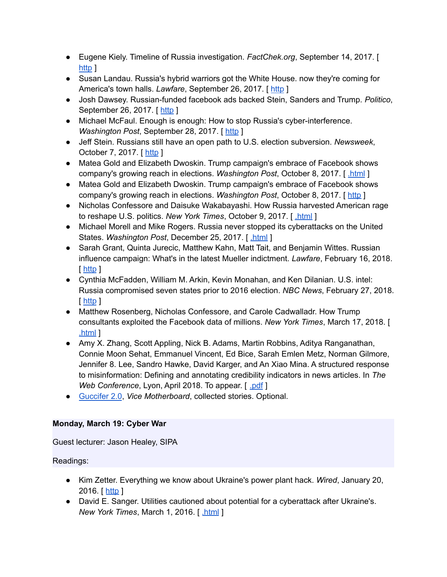- Eugene Kiely. Timeline of Russia investigation. *FactChek.org*, September 14, 2017. [ [http](http://www.factcheck.org/2017/06/timeline-russia-investigation/) ]
- Susan Landau. Russia's hybrid warriors got the White House. now they're coming for America's town halls. *Lawfare*, September 26, 2017. [ [http](http://foreignpolicy.com/2017/09/26/russias-hybrid-warriors-are-coming-for-american-civil-society-hacking-trump-clinton/) ]
- Josh Dawsey. Russian-funded facebook ads backed Stein, Sanders and Trump. *Politico*, September 26, 2017. [ [http](http://www.politico.com/story/2017/09/26/facebook-russia-trump-sanders-stein-243172) ]
- Michael McFaul. Enough is enough: How to stop Russia's cyber-interference. *Washington Post, September 28, 2017.* [[http](https://www.washingtonpost.com/news/global-opinions/wp/2017/09/28/enough-is-enough-how-to-stop-russias-cyber-interference/?tid=ss_tw&utm_term=.ef93058ad27a) ]
- Jeff Stein. Russians still have an open path to U.S. election subversion. *Newsweek*, October 7, 2017. [[http](http://www.newsweek.com/spy-talk-jeff-stein-donald-trump-russia-homeland-security-election-russia-680179) ]
- Matea Gold and Elizabeth Dwoskin. Trump campaign's embrace of Facebook shows company's growing reach in elections. *Washington Post*, October 8, 2017. [ [.html](https://www.washingtonpost.com/politics/trump-campaigns-embrace-of-facebook-shows-companys-growing-reach-in-elections/2017/10/08/e5e5f156-a93b-11e7-b3aa-c0e2e1d41e38_story.html) ]
- Matea Gold and Elizabeth Dwoskin. Trump campaign's embrace of Facebook shows company's growing reach in elections. *Washington Post*, October 8, 2017. [ [http](https://www.washingtonpost.com/politics/trump-campaigns-embrace-of-facebook-shows-companys-growing-reach-in-elections/2017/10/08/e5e5f156-a93b-11e7-b3aa-c0e2e1d41e38_story.html?utm_term=.5ae0d383475e) ]
- Nicholas Confessore and Daisuke Wakabayashi. How Russia harvested American rage to reshape U.S. politics. *New York Times*, October 9, 2017. [ [.html](https://www.nytimes.com/2017/10/09/technology/russia-election-facebook-ads-rage.html) ]
- Michael Morell and Mike Rogers. Russia never stopped its cyberattacks on the United States. *Washington Post*, December 25, 2017. [ [.html](https://www.washingtonpost.com/opinions/russia-never-stopped-its-cyberattacks-on-the-united-states/2017/12/25/83076f2e-e676-11e7-a65d-1ac0fd7f097e_story.html) ]
- Sarah Grant, Quinta Jurecic, Matthew Kahn, Matt Tait, and Benjamin Wittes. Russian influence campaign: What's in the latest Mueller indictment. *Lawfare*, February 16, 2018. [ [http](https://lawfareblog.com/russian-influence-campaign-whats-latest-mueller-indictment) ]
- Cynthia McFadden, William M. Arkin, Kevin Monahan, and Ken Dilanian. U.S. intel: Russia compromised seven states prior to 2016 election. *NBC News*, February 27, 2018. [ [http](https://www.nbcnews.com/politics/elections/u-s-intel-russia-compromised-seven-states-prior-2016-election-n850296) ]
- Matthew Rosenberg, Nicholas Confessore, and Carole Cadwalladr. How Trump consultants exploited the Facebook data of millions. *New York Times*, March 17, 2018. [ [.html](https://www.nytimes.com/2018/03/17/us/politics/cambridge-analytica-trump-campaign.html) ]
- Amy X. Zhang, Scott Appling, Nick B. Adams, Martin Robbins, Aditya Ranganathan, Connie Moon Sehat, Emmanuel Vincent, Ed Bice, Sarah Emlen Metz, Norman Gilmore, Jennifer 8. Lee, Sandro Hawke, David Karger, and An Xiao Mina. A structured response to misinformation: Defining and annotating credibility indicators in news articles. In *The Web Conference*, Lyon, April 2018. To appear. [ [.pdf](http://people.csail.mit.edu/axz/papers/webconf_credco.pdf) ]
- [Guccifer](https://motherboard.vice.com/en_us/topic/guccifer-20) 2.0, *Vice Motherboard*, collected stories. Optional.

# **Monday, March 19: Cyber War**

Guest lecturer: Jason Healey, SIPA

- Kim Zetter. Everything we know about Ukraine's power plant hack. *Wired*, January 20, 2016. [ [http](http://www.wired.com/2016/01/everything-we-know-about-ukraines-power-plant-hack/) ]
- David E. Sanger. Utilities cautioned about potential for a cyberattack after Ukraine's. *New York Times*, March 1, 2016. [ [.html](http://www.nytimes.com/2016/03/01/us/politics/utilities-cautioned-about-potential-for-a-cyberattack-after-ukraines.html) ]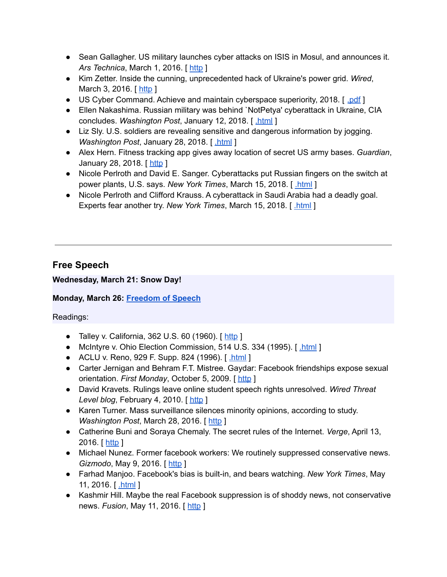- Sean Gallagher. US military launches cyber attacks on ISIS in Mosul, and announces it. *Ars Technica*, March 1, 2016. [[http](http://arstechnica.com/information-technology/2016/03/us-military-launches-cyber-attacks-on-isis-in-mosul-and-announces-it/) ]
- Kim Zetter. Inside the cunning, unprecedented hack of Ukraine's power grid. *Wired*, March 3, 2016. [ [http](http://www.wired.com/2016/03/inside-cunning-unprecedented-hack-ukraines-power-grid/) ]
- US Cyber Command. Achieve and maintain cyberspace superiority, 2018. [ [.pdf](https://www.thecipherbrief.com/wp-content/uploads/2018/02/Cyber-Command-Achieve-and-Maintain-Cyber-Superiority-1.pdf) ]
- Ellen Nakashima. Russian military was behind `NotPetya' cyberattack in Ukraine, CIA concludes. *Washington Post*, January 12, 2018. [ [.html](https://www.washingtonpost.com/world/national-security/russian-military-was-behind-notpetya-cyberattack-in-ukraine-cia-concludes/2018/01/12/048d8506-f7ca-11e7-b34a-b85626af34ef_story.html) ]
- Liz Sly. U.S. soldiers are revealing sensitive and dangerous information by jogging. *Washington Post*, January 28, 2018. [ [.html](https://www.washingtonpost.com/world/a-map-showing-the-users-of-fitness-devices-lets-the-world-see-where-us-soldiers-are-and-what-they-are-doing/2018/01/28/86915662-0441-11e8-aa61-f3391373867e_story.html) ]
- Alex Hern. Fitness tracking app gives away location of secret US army bases. *Guardian*, January 28, 2018. [ [http](https://www.theguardian.com/world/2018/jan/28/fitness-tracking-app-gives-away-location-of-secret-us-army-bases) ]
- Nicole Perlroth and David E. Sanger. Cyberattacks put Russian fingers on the switch at power plants, U.S. says. *New York Times*, March 15, 2018. [ [.html](https://www.nytimes.com/2018/03/15/us/politics/russia-cyberattacks.html) ]
- Nicole Perlroth and Clifford Krauss. A cyberattack in Saudi Arabia had a deadly goal. Experts fear another try. *New York Times*, March 15, 2018. [ [.html](https://www.nytimes.com/2018/03/15/technology/saudi-arabia-hacks-cyberattacks.html) ]

# **Free Speech**

# **Wednesday, March 21: Snow Day!**

# **Monday, March 26: [Freedom](https://www.cs.columbia.edu/~smb/classes/s18/l_speech.pdf) of Speech**

- Talley v. California, 362 U.S. 60 (1960).  $\lceil \frac{\text{http}}{\text{http}} \rceil$  $\lceil \frac{\text{http}}{\text{http}} \rceil$  $\lceil \frac{\text{http}}{\text{http}} \rceil$
- McIntyre v. Ohio Election Commission, 514 U.S. 334 (1995). [[.html](http://www.law.cornell.edu/supct/html/93-986.ZO.html) ]
- ACLU v. Reno, 929 F. Supp. 824 (1996). [[.html](http://www.mit.edu/activities/safe/legal/cda-decision.html) ]
- Carter Jernigan and Behram F.T. Mistree. Gaydar: Facebook friendships expose sexual orientation. *First Monday*, October 5, 2009. [ [http](http://firstmonday.org/article/view/2611/2302) ]
- David Kravets. Rulings leave online student speech rights unresolved. *Wired Threat Level blog*, February 4, 2010. [ [http](https://www.wired.com/2010/02/rulings-leave-us-student-speech-rights-unresolved/) ]
- Karen Turner. Mass surveillance silences minority opinions, according to study. *Washington Post*, March 28, 2016. [ [http](https://www.washingtonpost.com/news/the-switch/wp/2016/03/28/mass-surveillance-silences-minority-opinions-according-to-study/) ]
- Catherine Buni and Soraya Chemaly. The secret rules of the Internet. *Verge*, April 13, 2016. [ [http](http://www.theverge.com/2016/4/13/11387934/internet-moderator-history-youtube-facebook-reddit-censorship-free-speech) ]
- Michael Nunez. Former facebook workers: We routinely suppressed conservative news. *Gizmodo*, May 9, 2016. [[http](http://gizmodo.com/former-facebook-workers-we-routinely-suppressed-conser-1775461006?rev=1462799465508) ]
- Farhad Manjoo. Facebook's bias is built-in, and bears watching. *New York Times*, May 11, 2016. [**html**]
- Kashmir Hill. Maybe the real Facebook suppression is of shoddy news, not conservative news. *Fusion*, May 11, 2016. [ [http](http://fusion.net/story/301156/facebook-suppression-conservative-news-shoddy-news/) ]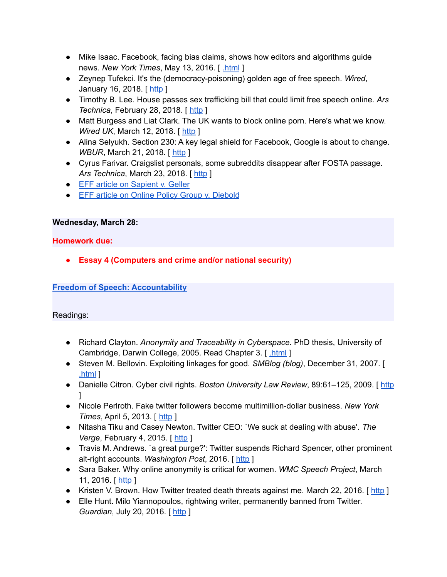- Mike Isaac. Facebook, facing bias claims, shows how editors and algorithms guide news. *New York Times*, May 13, 2016. [ [.html](http://www.nytimes.com/2016/05/13/technology/facebook-guidelines-trending-topics.html) ]
- Zeynep Tufekci. It's the (democracy-poisoning) golden age of free speech. *Wired*, January 16, 2018. [ [http](https://www.wired.com/story/free-speech-issue-tech-turmoil-new-censorship/) ]
- Timothy B. Lee. House passes sex trafficking bill that could limit free speech online. *Ars Technica*, February 28, 2018. [ [http](https://arstechnica.com/tech-policy/2018/02/why-a-house-passed-online-sex-trafficking-bill-could-hurt-victims/) ]
- Matt Burgess and Liat Clark. The UK wants to block online porn. Here's what we know. *Wired UK*, March 12, 2018. [[http](http://www.wired.co.uk/article/porn-block-ban-in-the-uk-age-verifcation-law) ]
- Alina Selyukh. Section 230: A key legal shield for Facebook, Google is about to change. *WBUR*, March 21, 2018. [[http](http://www.wbur.org/npr/591622450/section-230-a-key-legal-shield-for-facebook-google-is-about-to-change) ]
- Cyrus Farivar. Craigslist personals, some subreddits disappear after FOSTA passage. *Ars Technica*, March 23, 2018. [ [http](https://arstechnica.com/tech-policy/2018/03/craigslist-personals-some-subreddits-disappear-with-fosta-passage/) ]
- EFF article on [Sapient](http://www.eff.org/cases/sapient-v-geller) v. Geller
- EFF article on Online Policy Group v. [Diebold](http://www.eff.org/cases/online-policy-group-v-diebold/)

# **Wednesday, March 28:**

**Homework due:**

**● Essay 4 (Computers and crime and/or national security)**

# **Freedom of Speech: [Accountability](https://www.cs.columbia.edu/~smb/classes/s18/l_accountability.pdf)**

- Richard Clayton. *Anonymity and Traceability in Cyberspace*. PhD thesis, University of Cambridge, Darwin College, 2005. Read Chapter 3. [ [.html](http://www.cl.cam.ac.uk/techreports/UCAM-CL-TR-653.html) ]
- Steven M. Bellovin. Exploiting linkages for good. *SMBlog (blog)*, December 31, 2007. [ [.html](https://www.cs.columbia.edu/~smb/blog/2007-12/2007-12-31a.html) ]
- Danielle Citron. Cyber civil rights. *Boston University Law Review*, 89:61–125, 2009. [ [http](http://digitalcommons.law.umaryland.edu/cgi/viewcontent.cgi?article=1611&context=fac_pubs) ]
- Nicole Perlroth. Fake twitter followers become multimillion-dollar business. *New York Times*, April 5, 2013. [ [http](https://bits.blogs.nytimes.com/2013/04/05/fake-twitter-followers-becomes-multimillion-dollar-business/) ]
- Nitasha Tiku and Casey Newton. Twitter CEO: `We suck at dealing with abuse'. *The Verge*, February 4, 2015. [[http](http://www.theverge.com/2015/2/4/7982099/twitter-ceo-sent-memo-taking-personal-responsibility-for-the) ]
- Travis M. Andrews. `a great purge?': Twitter suspends Richard Spencer, other prominent alt-right accounts. *Washington Post*, 2016. [ [http](https://www.washingtonpost.com/news/morning-mix/wp/2016/11/16/a-great-purge-twitter-suspends-richard-spencer-other-prominent-alt-right-accounts/) ]
- Sara Baker. Why online anonymity is critical for women. *WMC Speech Project*, March 11, 2016. [ [http](http://wmcspeechproject.com/2016/03/11/why-online-anonymity-is-critical-for-women/?platform=hootsuite) ]
- Kristen V. Brown. How Twitter treated death threats against me. March 22, 2016. [ [http](http://fusion.net/story/283089/twitter-harassment-policy-enforcement/) ]
- Elle Hunt. Milo Yiannopoulos, rightwing writer, permanently banned from Twitter. *Guardian*, July 20, 2016. [[http](https://www.theguardian.com/technology/2016/jul/20/milo-yiannopoulos-nero-permanently-banned-twitter) ]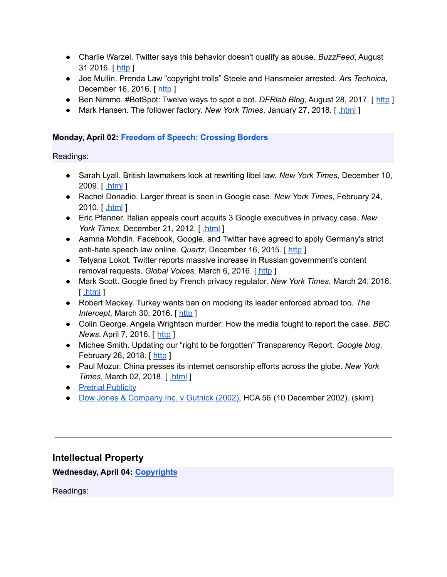- Charlie Warzel. Twitter says this behavior doesn't qualify as abuse. *BuzzFeed*, August 31 2016. [ [http](https://www.buzzfeed.com/charliewarzel/twitter-doesnt-think-wishing-rape-on-a-woman-counts-as-haras) ]
- Joe Mullin. Prenda Law "copyright trolls" Steele and Hansmeier arrested. *Ars Technica*, December 16, 2016. [ [http](https://arstechnica.com/tech-policy/2016/12/breaking-prenda-law-copyright-trolls-steele-and-hansmeier-arrested/) ]
- Ben Nimmo. #BotSpot: Twelve ways to spot a bot. *DFRIab Blog*, August 28, 2017. [ [http](https://medium.com/dfrlab/botspot-twelve-ways-to-spot-a-bot-aedc7d9c110c) ]
- Mark Hansen. The follower factory. *New York Times*, January 27, 2018. [ [.html](https://www.nytimes.com/interactive/2018/01/27/technology/social-media-bots.html) ]

# **Monday, April 02: Freedom of Speech: [Crossing](https://www.cs.columbia.edu/~smb/classes/s18/l_borders.pdf) Borders**

Readings:

- Sarah Lyall. British lawmakers look at rewriting libel law. *New York Times*, December 10, 2009. [ [.html](https://www.nytimes.com/2009/12/11/world/europe/11libel.html) ]
- Rachel Donadio. Larger threat is seen in Google case. *New York Times*, February 24, 2010. [ [.html](https://www.nytimes.com/2010/02/25/technology/companies/25google.html) ]
- Eric Pfanner. Italian appeals court acquits 3 Google executives in privacy case. *New York Times*, December 21, 2012. [[.html](https://www.nytimes.com/2012/12/22/business/global/italian-appeals-court-acquits-3-google-executives-in-privacy-case.html) ]
- Aamna Mohdin. Facebook, Google, and Twitter have agreed to apply Germany's strict anti-hate speech law online. *Quartz*, December 16, 2015. [ [http](http://qz.com/575268/facebook-google-and-twitter-have-agreed-to-apply-germanys-strict-anti-hate-speech-law-online/) ]
- Tetyana Lokot. Twitter reports massive increase in Russian government's content removal requests. *Global Voices*, March 6, 2016. [ [http](https://advox.globalvoices.org/2016/03/06/twitter-reports-massive-increase-in-russian-governments-content-removal-requests/) ]
- Mark Scott. Google fined by French privacy regulator. *New York Times*, March 24, 2016. [ [.html](http://www.nytimes.com/2016/03/25/technology/google-fined-by-french-privacy-regulator.html) ]
- Robert Mackey. Turkey wants ban on mocking its leader enforced abroad too. *The Intercept*, March 30, 2016. [ [http](https://theintercept.com/2016/03/30/turkey-wants-ban-on-mocking-its-leader-enforced-abroad-too/) ]
- Colin George. Angela Wrightson murder: How the media fought to report the case. *BBC News*, April 7, 2016. [ [http](http://www.bbc.co.uk/news/uk-england-tees-35977100) ]
- Michee Smith. Updating our "right to be forgotten" Transparency Report. *Google blog*, February 26, 2018. [ [http](https://www.blog.google/topics/google-europe/updating-our-right-be-forgotten-transparency-report/) ]
- Paul Mozur. China presses its internet censorship efforts across the globe. *New York Times*, March 02, 2018. [ [.html](https://www.nytimes.com/2018/03/02/technology/china-technology-censorship-borders-expansion.html) ]
- Pretrial [Publicity](http://legal-dictionary.thefreedictionary.com/Pretrial+Publicity)
- Dow Jones & [Company](http://www.kentlaw.edu/perritt/courses/civpro/Dow%20Jones%20&%20Company%20Inc_%20v%20Gutnick%20%5B2002%5D%20HCA%2056%20%2810%20December%202002%29.htm) Inc. v Gutnick (2002), HCA 56 (10 December 2002). (skim)

# **Intellectual Property**

**Wednesday, April 04: [Copyrights](https://www.cs.columbia.edu/~smb/classes/s18/l_copyright.pdf)**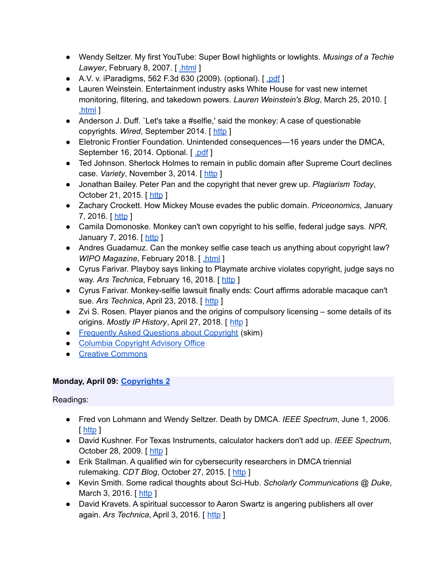- Wendy Seltzer. My first YouTube: Super Bowl highlights or lowlights. *Musings of a Techie Lawyer*, February 8, 2007. [*html*]
- A.V. v. iParadigms, 562 F.3d 630 (2009). (optional). [ [.pdf](http://www.nyls.edu/wp-content/uploads/sites/141/2013/08/562-F.3d-630-A.V.-v.-iParadigms.pdf) ]
- Lauren Weinstein. Entertainment industry asks White House for vast new internet monitoring, filtering, and takedown powers. *Lauren Weinstein's Blog*, March 25, 2010. [ [.html](https://lauren.vortex.com/archive/000699.html) ]
- Anderson J. Duff. `Let's take a #selfie,' said the monkey: A case of questionable copyrights. *Wired*, September 2014. [ [http](http://www.wired.com/insights/2014/09/questionable-copyrights/) ]
- Eletronic Frontier Foundation. Unintended consequences—16 years under the DMCA, September 16, 2014. Optional. [ [.pdf](https://www.eff.org/files/2014/09/16/unintendedconsequences2014.pdf) ]
- Ted Johnson. Sherlock Holmes to remain in public domain after Supreme Court declines case. *Variety*, November 3, 2014. [[http](http://variety.com/2014/biz/news/sherlock-holmes-case-decision-public-domain-1201346225/) ]
- Jonathan Bailey. Peter Pan and the copyright that never grew up. *Plagiarism Today*, October 21, 2015. [ [http](https://www.plagiarismtoday.com/2015/10/21/peter-pan-and-the-copyright-that-never-grew-up/) ]
- Zachary Crockett. How Mickey Mouse evades the public domain. *Priceonomics*, January 7, 2016. [ [http](http://priceonomics.com/how-mickey-mouse-evades-the-public-domain/) ]
- Camila Domonoske. Monkey can't own copyright to his selfie, federal judge says. *NPR*, January 7, 2016. [ [http](http://www.npr.org/sections/thetwo-way/2016/01/07/462245189/federal-judge-says-monkey-cant-own-copyright-to-his-selfie) ]
- Andres Guadamuz. Can the monkey selfie case teach us anything about copyright law? *WIPO Magazine*, February 2018. [ [.html](http://www.wipo.int/wipo_magazine/en/2018/01/article_0007.html) ]
- Cyrus Farivar. Playboy says linking to Playmate archive violates copyright, judge says no way. Ars Technica, February 16, 2018. [[http](https://arstechnica.com/tech-policy/2018/02/judge-strips-playboy-of-flimsy-copyright-lawsuit-against-boing-boing/) ]
- Cyrus Farivar. Monkey-selfie lawsuit finally ends: Court affirms adorable macaque can't sue. *Ars Technica*, April 23, 2018. [ [http](https://arstechnica.com/tech-policy/2018/04/monkey-selfie-lawsuit-finally-ends-court-affirms-adorable-macaque-cant-sue/) ]
- Zvi S. Rosen. Player pianos and the origins of compulsory licensing some details of its origins. *Mostly IP History*, April 27, 2018. [ [http](http://www.zvirosen.com/2018/04/27/player-pianos-and-the-origins-of-compulsory-licensing-some-details-of-its-origins/) ]
- [Frequently](http://www.copyright.gov/help/faq/) Asked Questions about Copyright (skim)
- Columbia [Copyright](https://copyright.columbia.edu/) Advisory Office
- Creative [Commons](http://creativecommons.org/)

# **Monday, April 09: [Copyrights](https://www.cs.columbia.edu/~smb/classes/s18/l_copyright2.pdf) 2**

- Fred von Lohmann and Wendy Seltzer. Death by DMCA. *IEEE Spectrum*, June 1, 2006. [ [http](https://spectrum.ieee.org/computing/software/death-by-dmca) ]
- David Kushner. For Texas Instruments, calculator hackers don't add up. *IEEE Spectrum*, October 28, 2009. [ [http](https://spectrum.ieee.org/consumer-electronics/gadgets/for-texas-instruments-calculator-hackers-dont-add-up/0) ]
- Erik Stallman. A qualified win for cybersecurity researchers in DMCA triennial rulemaking. *CDT Blog*, October 27, 2015. [ [http](https://cdt.org/blog/a-qualified-win-for-cybersecurity-researchers-in-dmca-triennial-rulemaking/) ]
- Kevin Smith. Some radical thoughts about Sci-Hub. *Scholarly Communications @ Duke*, March 3, 2016. [ [http](http://blogs.library.duke.edu/scholcomm/author/ksmithl2duke-edu/) ]
- David Kravets. A spiritual successor to Aaron Swartz is angering publishers all over again. *Ars Technica*, April 3, 2016. [ [http](http://arstechnica.com/tech-policy/2016/04/a-spiritual-successor-to-aaron-swartz-is-angering-publishers-all-over-again/) ]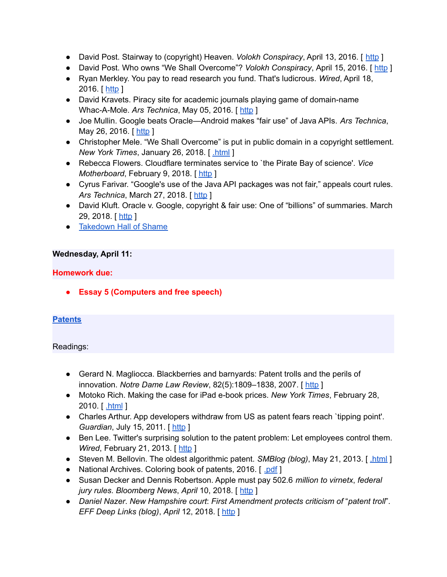- David Post. Stairway to (copyright) Heaven. *Volokh Conspiracy*, April 13, 2016. [ [http](https://www.washingtonpost.com/news/volokh-conspiracy/wp/2016/04/13/stairway-to-copyright-heaven/) ]
- David Post. Who owns "We Shall Overcome"? *Volokh Conspiracy*, April 15, 2016. [ [http](https://www.washingtonpost.com/news/volokh-conspiracy/wp/2016/04/15/who-owns-we-shall-overcome/) ]
- Ryan Merkley. You pay to read research you fund. That's ludicrous. *Wired*, April 18, 2016. [ [http](http://www.wired.com/2016/04/stealing-publicly-funded-research-isnt-stealing/) ]
- David Kravets. Piracy site for academic journals playing game of domain-name Whac-A-Mole. *Ars Technica*, May 05, 2016. [ [http](https://arstechnica.com/tech-policy/2016/05/piracy-site-for-academic-journals-playing-game-of-domain-name-whac-a-mole/) ]
- Joe Mullin. Google beats Oracle—Android makes "fair use" of Java APIs. *Ars Technica*, May 26, 2016. [ [http](https://arstechnica.com/tech-policy/2016/05/google-wins-trial-against-oracle-as-jury-finds-android-is-fair-use/) ]
- Christopher Mele. "We Shall Overcome" is put in public domain in a copyright settlement. *New York Times*, January 26, 2018. [ [.html](https://www.nytimes.com/2018/01/26/business/media/we-shall-overcome-copyright.html) ]
- Rebecca Flowers. Cloudflare terminates service to `the Pirate Bay of science'. *Vice Motherboard*, February 9, 2018. [ [http](https://motherboard.vice.com/en_us/article/59kgv5/cloudflare-terminates-service-to-the-pirate-bay-of-science) ]
- Cyrus Farivar. "Google's use of the Java API packages was not fair," appeals court rules. *Ars Technica*, March 27, 2018. [ [http](https://arstechnica.com/tech-policy/2018/03/googles-use-of-the-java-api-packages-was-not-fair-appeals-court-rules/) ]
- David Kluft. Oracle v. Google, copyright & fair use: One of "billions" of summaries. March 29, 2018. [[http](http://www.trademarkandcopyrightlawblog.com/2018/03/oracle-v-google-copyright-fair-use-one-of-billions-of-summaries/) ]
- [Takedown](https://www.eff.org/takedowns) Hall of Shame

# **Wednesday, April 11:**

# **Homework due:**

**● Essay 5 (Computers and free speech)**

# **[Patents](https://www.cs.columbia.edu/~smb/classes/s18/l_patents.pdf)**

- Gerard N. Magliocca. Blackberries and barnyards: Patent trolls and the perils of innovation. *Notre Dame Law Review*, 82(5):1809–1838, 2007. [ [http](https://papers.ssrn.com/sol3/papers.cfm?abstract_id=921252) ]
- Motoko Rich. Making the case for iPad e-book prices. *New York Times*, February 28, 2010. [ [.html](https://www.nytimes.com/2010/03/01/business/media/01ebooks.html) ]
- Charles Arthur. App developers withdraw from US as patent fears reach `tipping point'. *Guardian, July 15, 2011.* [[http](https://www.theguardian.com/technology/appsblog/2011/jul/15/app-developers-withdraw-us-patents) ]
- Ben Lee. Twitter's surprising solution to the patent problem: Let employees control them. *Wired*, February 21, 2013. [[http](http://www.wired.com/2013/02/twitters-ingenious-solution-to-the-patent-problem-let-inventors-control-the-patents) ]
- Steven M. Bellovin. The oldest algorithmic patent. *SMBlog (blog)*, May 21, 2013. [*html*]
- National Archives. Coloring book of patents, 2016. [ [.pdf](https://archivesaotus.files.wordpress.com/2016/02/patentscoloringbook.pdf) ]
- Susan Decker and Dennis Robertson. Apple must pay 502.6 *million to virnetx*, *federal jury rules*. *Bloomberg News*, *April* 10, 2018. [ [http](https://www.bloomberg.com/news/articles/2018-04-10/apple-owes-502-6-million-to-virnetx-says-federal-jury-in-texas) ]
- *Daniel Nazer*. *New Hampshire court*: *First Amendment protects criticism of* "*patent troll*". *EFF Deep Links (blog)*, *April* 12, 2018. [ [http](https://www.eff.org/deeplinks/2018/04/new-hampshire-court-first-amendment-protects-criticism-patent-troll) ]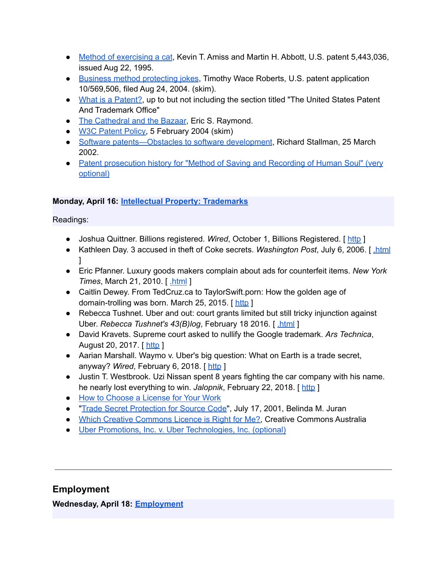- Method of [exercising](https://patents.google.com/patent/US5443036) a cat, Kevin T. Amiss and Martin H. Abbott, U.S. patent 5,443,036, issued Aug 22, 1995.
- Business method [protecting](https://patents.google.com/patent/WO2005022287A2) jokes, Timothy Wace Roberts, U.S. patent application 10/569,506, filed Aug 24, 2004. (skim).
- What is a [Patent?,](http://www.uspto.gov/web/offices/pac/doc/general/index.html#patent) up to but not including the section titled "The United States Patent" And Trademark Office"
- The [Cathedral](http://www.catb.org/esr/writings/cathedral-bazaar/) and the Bazaar, Eric S. Raymond.
- W3C [Patent](https://www.w3.org/Consortium/Patent-Policy-20170801/) Policy, 5 February 2004 (skim)
- Software [patents—Obstacles](https://www.gnu.org/philosophy/software-patents.html) to software development, Richard Stallman, 25 March 2002.
- Patent [prosecution](https://www.cs.columbia.edu/~smb/classes/s18/Files/11613380.pdf) history for "Method of Saving and Recording of Human Soul" (very [optional\)](https://www.cs.columbia.edu/~smb/classes/s18/Files/11613380.pdf)

# **Monday, April 16: Intellectual Property: [Trademarks](https://www.cs.columbia.edu/~smb/classes/s18/l_trademarks.pdf)**

Readings:

- Joshua Quittner. Billions registered. *Wired*, October 1, Billions Registered. [ [http](https://www.wired.com/1994/10/mcdonalds/) ]
- Kathleen Day. 3 accused in theft of Coke secrets. *Washington Post*, July 6, 2006. [ [.html](http://www.washingtonpost.com/wp-dyn/content/article/2006/07/05/AR2006070501717.html) ]
- Eric Pfanner. Luxury goods makers complain about ads for counterfeit items. *New York Times*, March 21, 2010. [ [.html](https://www.nytimes.com/2010/03/22/technology/22iht-brands.html) ]
- Caitlin Dewey. From TedCruz.ca to TaylorSwift.porn: How the golden age of domain-trolling was born. March 25, 2015. [[http](https://www.washingtonpost.com/news/the-intersect/wp/2015/03/25/from-tedcruz-ca-to-taylorswift-porn-how-the-golden-age-of-domain-trolling-was-born/?utm_term=.489534058a43)]
- Rebecca Tushnet. Uber and out: court grants limited but still tricky injunction against Uber. *Rebecca Tushnet's 43(B)log*, February 18 2016. [ [.html](http://tushnet.blogspot.com/2016/02/uber-and-out-court-grants-limited-but.html) ]
- David Kravets. Supreme court asked to nullify the Google trademark. *Ars Technica*, August 20, 2017. [ [http](https://arstechnica.com/tech-policy/2017/08/supreme-court-asked-to-nullify-the-google-trademark/) ]
- Aarian Marshall. Waymo v. Uber's big question: What on Earth is a trade secret, anyway? *Wired*, February 6, 2018. [ [http](https://www.wired.com/story/waymo-uber-trial-kalanick-testimony/) ]
- Justin T. Westbrook. Uzi Nissan spent 8 years fighting the car company with his name. he nearly lost everything to win. *Jalopnik*, February 22, 2018. [[http](https://jalopnik.com/uzi-nissan-spent-8-years-fighting-the-car-company-with-1822815832?utm_medium=sharefromsite&utm_source=Jalopnik_twitter) ]
- How to [Choose](http://www.gnu.org/licenses/license-recommendations.html) a License for Your Work
- "Trade Secret [Protection](https://www.wilmerhale.com/pages/publicationsandnewsdetail.aspx?NewsPubId=91018) for Source Code", July 17, 2001, Belinda M. Juran
- Which Creative [Commons](http://creativecommons.org.au/content/licensing-flowchart.pdf) Licence is Right for Me?, Creative Commons Australia
- Uber Promotions, Inc. v. Uber [Technologies,](https://www.cs.columbia.edu/~smb/classes/s18/Files/Uber_Promotions_v._Uber_Technologies.pdf) Inc. (optional)

# **Employment**

**Wednesday, April 18: [Employment](https://www.cs.columbia.edu/~smb/classes/s18/l_employment.pdf)**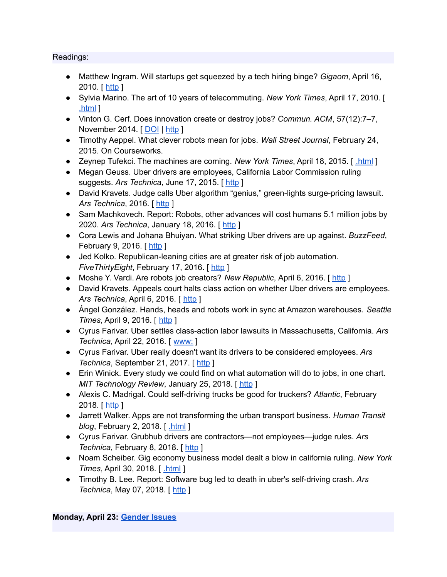#### Readings:

- Matthew Ingram. Will startups get squeezed by a tech hiring binge? *Gigaom*, April 16, 2010. [ [http](https://gigaom.com/2010/04/16/will-startups-get-squeezed-by-a-tech-hiring-binge/) ]
- Sylvia Marino. The art of 10 years of telecommuting. *New York Times*, April 17, 2010. [ [.html](https://www.nytimes.com/2010/04/18/jobs/18pre.html) ]
- Vinton G. Cerf. Does innovation create or destroy jobs? *Commun. ACM*, 57(12):7–7, November 2014. [[DOI](http://dx.doi.org/10.1145/2685035) | [http](http://doi.acm.org/10.1145/2685035) ]
- Timothy Aeppel. What clever robots mean for jobs. *Wall Street Journal*, February 24, 2015. On Courseworks.
- Zeynep Tufekci. The machines are coming. *New York Times*, April 18, 2015. [ [.html](https://www.nytimes.com/2015/04/19/opinion/sunday/the-machines-are-coming.html) ]
- Megan Geuss. Uber drivers are employees, California Labor Commission ruling suggests. *Ars Technica*, June 17, 2015. [ [http](http://arstechnica.com/business/2015/06/uber-drivers-are-employees-california-labor-commission-rules/) ]
- David Kravets. Judge calls Uber algorithm "genius," green-lights surge-pricing lawsuit. *Ars Technica*, 2016. [ [http](http://arstechnica.com/tech-policy/2016/04/judge-calls-uber-algorithm-genius-green-lights-surge-pricing-lawsuit/) ]
- Sam Machkovech. Report: Robots, other advances will cost humans 5.1 million jobs by 2020. *Ars Technica*, January 18, 2016. [ [http](http://arstechnica.com/business/2016/01/report-robots-other-advances-will-cost-humans-5-1-million-jobs-by-2020/) ]
- Cora Lewis and Johana Bhuiyan. What striking Uber drivers are up against. *BuzzFeed*, February 9, 2016. [[http](http://www.buzzfeed.com/coralewis/what-uber-strikers-are-up-against?utm_term=.rbpaWy949#.dgbzONZLZ) ]
- Jed Kolko. Republican-leaning cities are at greater risk of job automation. *FiveThirtyEight*, February 17, 2016. [[http](http://fivethirtyeight.com/features/republican-leaning-cities-are-at-greater-risk-of-job-automation/) ]
- Moshe Y. Vardi. Are robots job creators? *New Republic*, April 6, 2016. [[http](https://newrepublic.com/article/132441/robots-job-creators) ]
- David Kravets. Appeals court halts class action on whether Uber drivers are employees. *Ars Technica*, April 6, 2016. [ [http](http://arstechnica.com/tech-policy/2016/04/appeals-court-halts-class-action-on-whether-uber-drivers-are-employees/) ]
- Ángel González. Hands, heads and robots work in sync at Amazon warehouses. *Seattle Times*, April 9, 2016. [ [http](http://www.seattletimes.com/business/amazon/at-amazon-warehouses-humans-and-robots-are-in-sync/) ]
- Cyrus Farivar. Uber settles class-action labor lawsuits in Massachusetts, California. *Ars Technica*, April 22, 2016. [ [www:](https://www.cs.columbia.edu/~smb/classes/s18/2016-04-22) ]
- Cyrus Farivar. Uber really doesn't want its drivers to be considered employees. *Ars Technica*, September 21, 2017. [ [http](https://arstechnica.com/tech-policy/2017/09/uber-really-doesnt-want-its-drivers-to-be-considered-employees/) ]
- Erin Winick. Every study we could find on what automation will do to jobs, in one chart. *MIT Technology Review, January 25, 2018.* [[http](https://www.technologyreview.com/s/610005/every-study-we-could-find-on-what-automation-will-do-to-jobs-in-one-chart/) ]
- Alexis C. Madrigal. Could self-driving trucks be good for truckers? *Atlantic*, February 2018. [ [http](https://www.theatlantic.com/technology/archive/2018/02/uber-says-its-self-driving-trucks-will-be-good-for-truckers/551879/) ]
- Jarrett Walker. Apps are not transforming the urban transport business. *Human Transit blog*, February 2, 2018. [ [.html](http://humantransit.org/2018/02/breaking-urban-transport-is-not-a-profitable-business.html) ]
- Cyrus Farivar. Grubhub drivers are contractors—not employees—judge rules. *Ars Technica*, February 8, 2018. [ [http](https://arstechnica.com/tech-policy/2018/02/grubhub-drivers-are-contractors-not-employees-judge-rules/) ]
- Noam Scheiber. Gig economy business model dealt a blow in california ruling. *New York Times*, April 30, 2018. [ [.html](https://www.nytimes.com/2018/04/30/business/economy/gig-economy-ruling.html) ]
- Timothy B. Lee. Report: Software bug led to death in uber's self-driving crash. *Ars Technica*, May 07, 2018. [[http](https://arstechnica.com/tech-policy/2018/05/report-software-bug-led-to-death-in-ubers-self-driving-crash/) ]

# **Monday, April 23: [Gender](https://www.cs.columbia.edu/~smb/classes/s18/l_gender.pdf) Issues**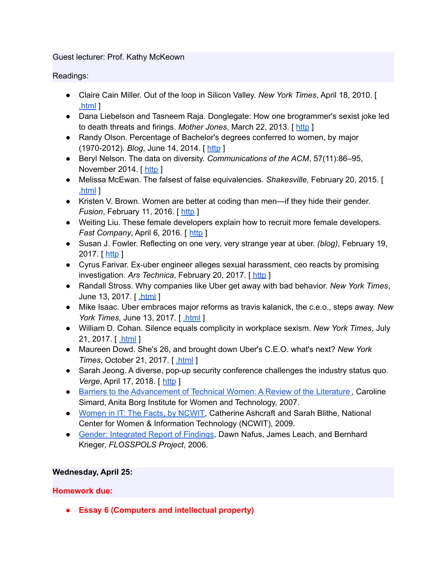#### Guest lecturer: Prof. Kathy McKeown

Readings:

- Claire Cain Miller. Out of the loop in Silicon Valley. *New York Times*, April 18, 2010. [ [.html](http://www.nytimes.com/2010/04/18/technology/18women.html) ]
- Dana Liebelson and Tasneem Raja. Donglegate: How one brogrammer's sexist joke led to death threats and firings. *Mother Jones*, March 22, 2013. [ [http](http://www.motherjones.com/politics/2013/03/pycon-2013-sexism-dongle-richards) ]
- Randy Olson. Percentage of Bachelor's degrees conferred to women, by major (1970-2012). *Blog*, June 14, 2014. [ [http](http://www.randalolson.com/2014/06/14/percentage-of-bachelors-degrees-conferred-to-women-by-major-1970-2012/) ]
- Beryl Nelson. The data on diversity. *Communications of the ACM*, 57(11):86–95, November 2014. [[http](http://cacm.acm.org/magazines/2014/11/179827-the-data-on-diversity/fulltext) ]
- Melissa McEwan. The falsest of false equivalencies. *Shakesville*, February 20, 2015. [  $.html<sub>1</sub>$  $.html<sub>1</sub>$
- Kristen V. Brown. Women are better at coding than men—if they hide their gender. *Fusion*, February 11, 2016. [[http](http://fusion.net/story/267752/female-programmers-on-github-do-better-than-men-if-they-hide-their-gender/?utm_source=twitter&utm_medium=social&utm_campaign=socialshare&utm_content=theme_top) ]
- Weiting Liu. These female developers explain how to recruit more female developers. *Fast Company*, April 6, 2016. [ [http](https://www.fastcompany.com/3058604/strong-female-lead/these-female-developers-explain-how-to-recruit-more-female-developers) ]
- Susan J. Fowler. Reflecting on one very, very strange year at uber. *(blog)*, February 19, 2017. [ [http](https://www.susanjfowler.com/blog/2017/2/19/reflecting-on-one-very-strange-year-at-uber) ]
- Cyrus Farivar. Ex-uber engineer alleges sexual harassment, ceo reacts by promising investigation. *Ars Technica*, February 20, 2017. [ [http](https://arstechnica.com/information-technology/2017/02/ex-uber-engineer-alleges-sexual-harassment-ceo-reacts-by-promising-investigation/) ]
- Randall Stross. Why companies like Uber get away with bad behavior. *New York Times*, June 13, 2017. [ [.html](https://www.nytimes.com/2017/06/13/opinion/travis-kalanick-uber-bad-behavior.html) ]
- Mike Isaac. Uber embraces major reforms as travis kalanick, the c.e.o., steps away. *New York Times*, June 13, 2017. [ [.html](https://www.nytimes.com/2017/06/13/technology/uber-travis-kalanick-holder-report.html) ]
- William D. Cohan. Silence equals complicity in workplace sexism. *New York Times*, July 21, 2017. [ [.html](https://www.nytimes.com/2017/07/21/business/dealbook/silence-workplace-sexism-uber.html) ]
- Maureen Dowd. She's 26, and brought down Uber's C.E.O. what's next? *New York Times*, October 21, 2017. [ [.html](https://www.nytimes.com/2017/10/21/style/susan-fowler-uber.html) ]
- Sarah Jeong. A diverse, pop-up security conference challenges the industry status quo. *Verge*, April 17, 2018. [ [http](https://www.theverge.com/2018/4/17/17247074/oursa-rsa-diversity-conference-speakers-security-infosec) ]
- Barriers to the [Advancement](http://web.archive.org/web/20131110220106/http://anitaborg.org/files/womens-tech-careers-lit-reviewfinal_2007.pdf) of Technical Women: A Review of the Literature, Caroline Simard, Anita Borg Institute for Women and Technology, 2007.
- [Women](https://www.ncwit.org/resources/women-it-facts) in IT: The Facts, by NCWIT, Catherine Ashcraft and Sarah Blithe, National Center for Women & Information Technology (NCWIT), 2009.
- Gender: [Integrated](http://flosspols.merit.unu.edu/deliverables/FLOSSPOLS-D16-Gender_Integrated_Report_of_Findings.pdf) Report of Findings, Dawn Nafus, James Leach, and Bernhard Krieger, *FLOSSPOLS Project*, 2006.

# **Wednesday, April 25:**

# **Homework due:**

**● Essay 6 (Computers and intellectual property)**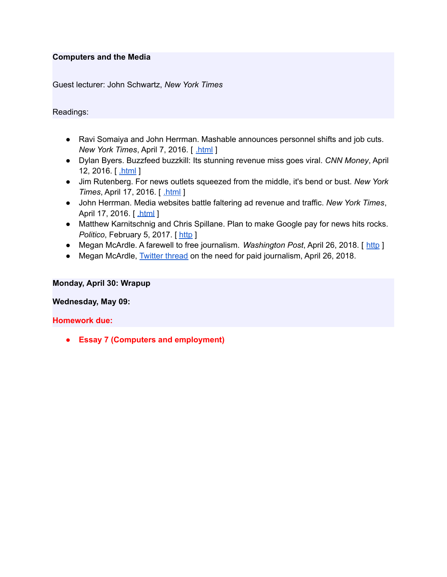#### **Computers and the Media**

Guest lecturer: John Schwartz, *New York Times*

#### Readings:

- Ravi Somaiya and John Herrman. Mashable announces personnel shifts and job cuts. *New York Times*, April 7, 2016. [ [.html](http://www.nytimes.com/2016/04/08/business/media/mashable-announces-personnel-shifts-and-job-cuts.html) ]
- Dylan Byers. Buzzfeed buzzkill: Its stunning revenue miss goes viral. *CNN Money*, April 12, 2016. [ [.html](http://money.cnn.com/2016/04/12/media/buzzfeed-missed-projections/index.html) ]
- Jim Rutenberg. For news outlets squeezed from the middle, it's bend or bust. *New York Times*, April 17, 2016. [ [.html](http://www.nytimes.com/2016/04/18/business/media/for-news-outlets-squeezed-from-the-middle-its-bend-or-bust.html) ]
- John Herrman. Media websites battle faltering ad revenue and traffic. *New York Times*, April 17, 2016. [ [.html](http://www.nytimes.com/2016/04/18/business/media-websites-battle-falteringad-revenue-and-traffic.html) ]
- Matthew Karnitschnig and Chris Spillane. Plan to make Google pay for news hits rocks. *Politico*, February 5, 2017. [[http](https://www.politico.eu/article/plan-to-make-google-pay-for-news-hits-rocks-copyright-reform-european-commission/) ]
- Megan McArdle. A farewell to free journalism. *Washington Post*, April 26, 2018. [ [http](https://www.washingtonpost.com/blogs/post-partisan/wp/2018/04/26/a-farewell-to-free-journalism/) ]
- Megan McArdle, [Twitter](https://twitter.com/asymmetricinfo/status/989609519465553920) thread on the need for paid journalism, April 26, 2018.

#### **Monday, April 30: Wrapup**

#### **Wednesday, May 09:**

#### **Homework due:**

**● Essay 7 (Computers and employment)**